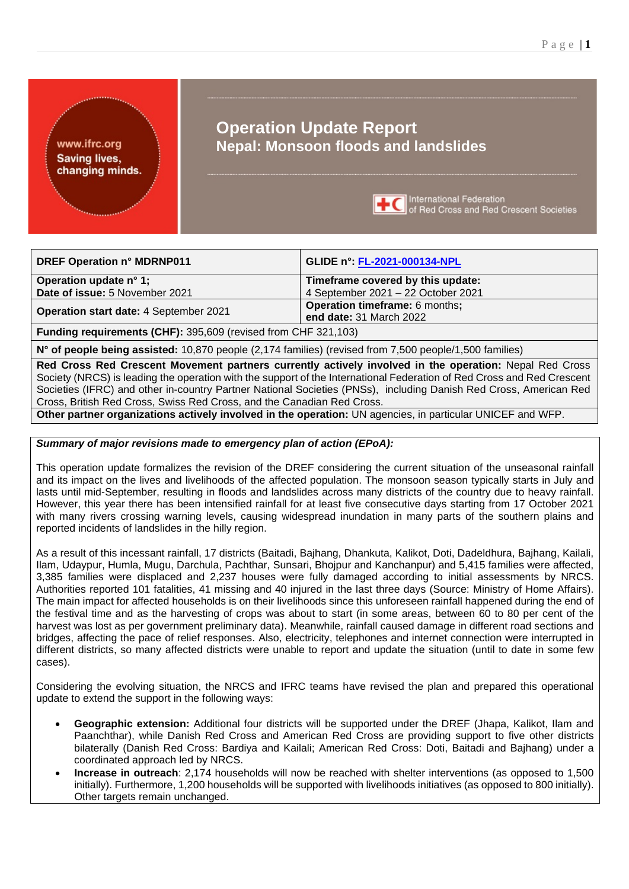www.ifrc.org **Saving lives,** changing minds.

# **Operation Update Report Nepal: Monsoon floods and landslides**



International Federation<br> **IC** of Red Cross and Red Crescent Societies

| <b>DREF Operation n° MDRNP011</b>                                                                                       | GLIDE n°: FL-2021-000134-NPL          |  |
|-------------------------------------------------------------------------------------------------------------------------|---------------------------------------|--|
| Operation update n° 1;                                                                                                  | Timeframe covered by this update:     |  |
| Date of issue: 5 November 2021                                                                                          | 4 September 2021 - 22 October 2021    |  |
| Operation start date: 4 September 2021                                                                                  | <b>Operation timeframe: 6 months;</b> |  |
|                                                                                                                         | end date: 31 March 2022               |  |
| <b>Funding requirements (CHF): 395,609 (revised from CHF 321,103)</b>                                                   |                                       |  |
| $\mu$ <sup>0</sup> ef nearle heine secietad: 10.070 people (2.174 familian) (rovined from 7.500 people (1.500 familian) |                                       |  |

**N° of people being assisted:** 10,870 people (2,174 families) (revised from 7,500 people/1,500 families)

**Red Cross Red Crescent Movement partners currently actively involved in the operation:** Nepal Red Cross Society (NRCS) is leading the operation with the support of the International Federation of Red Cross and Red Crescent Societies (IFRC) and other in-country Partner National Societies (PNSs), including Danish Red Cross, American Red Cross, British Red Cross, Swiss Red Cross, and the Canadian Red Cross.

**Other partner organizations actively involved in the operation:** UN agencies, in particular UNICEF and WFP.

## *Summary of major revisions made to emergency plan of action (EPoA):*

This operation update formalizes the revision of the DREF considering the current situation of the unseasonal rainfall and its impact on the lives and livelihoods of the affected population. The monsoon season typically starts in July and lasts until mid-September, resulting in floods and landslides across many districts of the country due to heavy rainfall. However, this year there has been intensified rainfall for at least five consecutive days starting from 17 October 2021 with many rivers crossing warning levels, causing widespread inundation in many parts of the southern plains and reported incidents of landslides in the hilly region.

As a result of this incessant rainfall, 17 districts (Baitadi, Bajhang, Dhankuta, Kalikot, Doti, Dadeldhura, Bajhang, Kailali, Ilam, Udaypur, Humla, Mugu, Darchula, Pachthar, Sunsari, Bhojpur and Kanchanpur) and 5,415 families were affected, 3,385 families were displaced and 2,237 houses were fully damaged according to initial assessments by NRCS. Authorities reported 101 fatalities, 41 missing and 40 injured in the last three days (Source: Ministry of Home Affairs). The main impact for affected households is on their livelihoods since this unforeseen rainfall happened during the end of the festival time and as the harvesting of crops was about to start (in some areas, between 60 to 80 per cent of the harvest was lost as per government preliminary data). Meanwhile, rainfall caused damage in different road sections and bridges, affecting the pace of relief responses. Also, electricity, telephones and internet connection were interrupted in different districts, so many affected districts were unable to report and update the situation (until to date in some few cases).

Considering the evolving situation, the NRCS and IFRC teams have revised the plan and prepared this operational update to extend the support in the following ways:

- **Geographic extension:** Additional four districts will be supported under the DREF (Jhapa, Kalikot, Ilam and Paanchthar), while Danish Red Cross and American Red Cross are providing support to five other districts bilaterally (Danish Red Cross: Bardiya and Kailali; American Red Cross: Doti, Baitadi and Bajhang) under a coordinated approach led by NRCS.
- **Increase in outreach**: 2,174 households will now be reached with shelter interventions (as opposed to 1,500 initially). Furthermore, 1,200 households will be supported with livelihoods initiatives (as opposed to 800 initially). Other targets remain unchanged.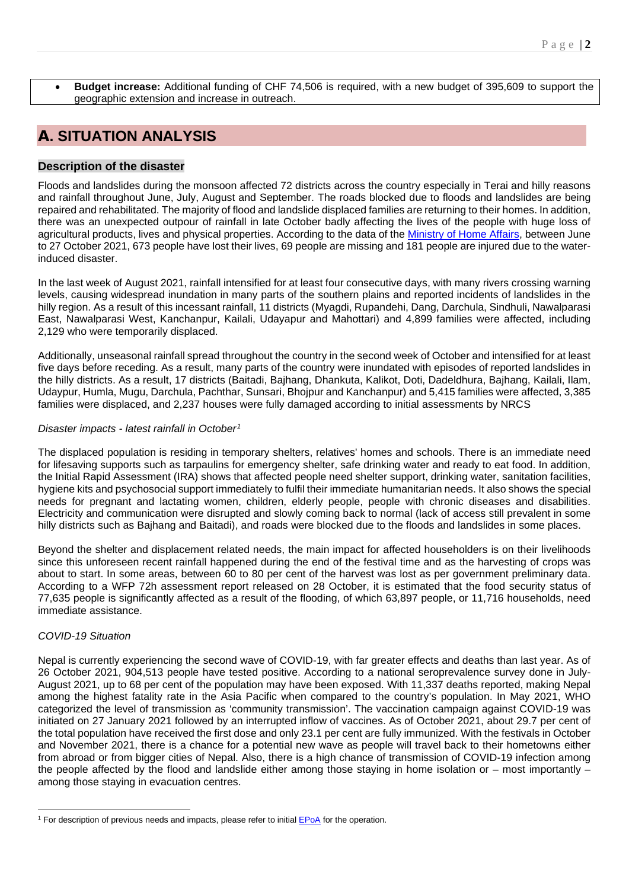• **Budget increase:** Additional funding of CHF 74,506 is required, with a new budget of 395,609 to support the geographic extension and increase in outreach.

# A**. SITUATION ANALYSIS**

## **Description of the disaster**

Floods and landslides during the monsoon affected 72 districts across the country especially in Terai and hilly reasons and rainfall throughout June, July, August and September. The roads blocked due to floods and landslides are being repaired and rehabilitated. The majority of flood and landslide displaced families are returning to their homes. In addition, there was an unexpected outpour of rainfall in late October badly affecting the lives of the people with huge loss of agricultural products, lives and physical properties. According to the data of the [Ministry of Home Affairs,](http://drrportal.gov.np/) between June to 27 October 2021, 673 people have lost their lives, 69 people are missing and 181 people are injured due to the waterinduced disaster.

In the last week of August 2021, rainfall intensified for at least four consecutive days, with many rivers crossing warning levels, causing widespread inundation in many parts of the southern plains and reported incidents of landslides in the hilly region. As a result of this incessant rainfall, 11 districts (Myagdi, Rupandehi, Dang, Darchula, Sindhuli, Nawalparasi East, Nawalparasi West, Kanchanpur, Kailali, Udayapur and Mahottari) and 4,899 families were affected, including 2,129 who were temporarily displaced.

Additionally, unseasonal rainfall spread throughout the country in the second week of October and intensified for at least five days before receding. As a result, many parts of the country were inundated with episodes of reported landslides in the hilly districts. As a result, 17 districts (Baitadi, Bajhang, Dhankuta, Kalikot, Doti, Dadeldhura, Bajhang, Kailali, Ilam, Udaypur, Humla, Mugu, Darchula, Pachthar, Sunsari, Bhojpur and Kanchanpur) and 5,415 families were affected, 3,385 families were displaced, and 2,237 houses were fully damaged according to initial assessments by NRCS

## *Disaster impacts - latest rainfall in October[1](#page-1-0)*

The displaced population is residing in temporary shelters, relatives' homes and schools. There is an immediate need for lifesaving supports such as tarpaulins for emergency shelter, safe drinking water and ready to eat food. In addition, the Initial Rapid Assessment (IRA) shows that affected people need shelter support, drinking water, sanitation facilities, hygiene kits and psychosocial support immediately to fulfil their immediate humanitarian needs. It also shows the special needs for pregnant and lactating women, children, elderly people, people with chronic diseases and disabilities. Electricity and communication were disrupted and slowly coming back to normal (lack of access still prevalent in some hilly districts such as Bajhang and Baitadi), and roads were blocked due to the floods and landslides in some places.

Beyond the shelter and displacement related needs, the main impact for affected householders is on their livelihoods since this unforeseen recent rainfall happened during the end of the festival time and as the harvesting of crops was about to start. In some areas, between 60 to 80 per cent of the harvest was lost as per government preliminary data. According to a WFP 72h assessment report released on 28 October, it is estimated that the food security status of 77,635 people is significantly affected as a result of the flooding, of which 63,897 people, or 11,716 households, need immediate assistance.

## *COVID-19 Situation*

Nepal is currently experiencing the second wave of COVID-19, with far greater effects and deaths than last year. As of 26 October 2021, 904,513 people have tested positive. According to a national seroprevalence survey done in July-August 2021, up to 68 per cent of the population may have been exposed. With 11,337 deaths reported, making Nepal among the highest fatality rate in the Asia Pacific when compared to the country's population. In May 2021, WHO categorized the level of transmission as 'community transmission'. The vaccination campaign against COVID-19 was initiated on 27 January 2021 followed by an interrupted inflow of vaccines. As of October 2021, about 29.7 per cent of the total population have received the first dose and only 23.1 per cent are fully immunized. With the festivals in October and November 2021, there is a chance for a potential new wave as people will travel back to their hometowns either from abroad or from bigger cities of Nepal. Also, there is a high chance of transmission of COVID-19 infection among the people affected by the flood and landslide either among those staying in home isolation or – most importantly – among those staying in evacuation centres.

<span id="page-1-0"></span><sup>&</sup>lt;sup>1</sup> For description of previous needs and impacts, please refer to initial **EPoA** for the operation.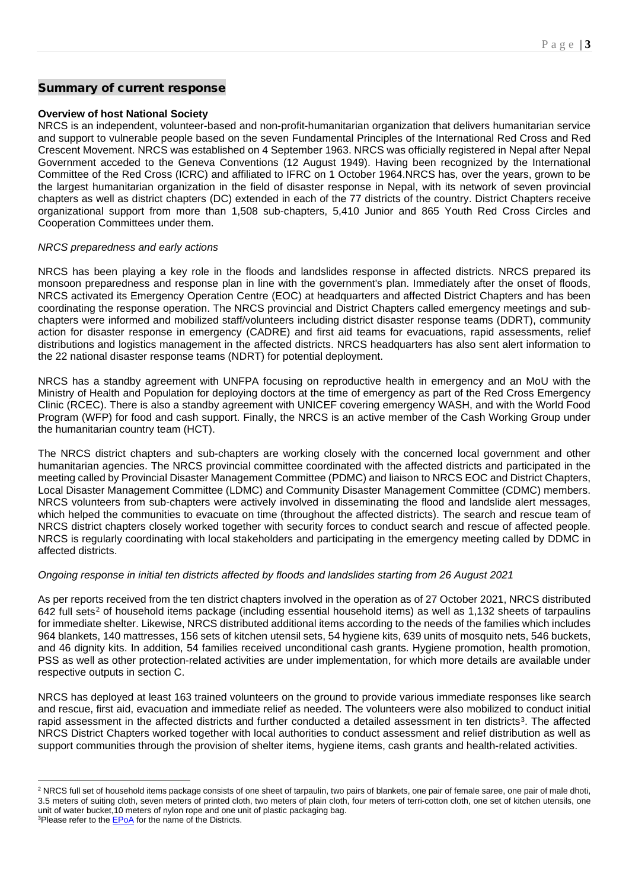## Summary of current response

## **Overview of host National Society**

NRCS is an independent, volunteer-based and non-profit-humanitarian organization that delivers humanitarian service and support to vulnerable people based on the seven Fundamental Principles of the International Red Cross and Red Crescent Movement. NRCS was established on 4 September 1963. NRCS was officially registered in Nepal after Nepal Government acceded to the Geneva Conventions (12 August 1949). Having been recognized by the International Committee of the Red Cross (ICRC) and affiliated to IFRC on 1 October 1964.NRCS has, over the years, grown to be the largest humanitarian organization in the field of disaster response in Nepal, with its network of seven provincial chapters as well as district chapters (DC) extended in each of the 77 districts of the country. District Chapters receive organizational support from more than 1,508 sub-chapters, 5,410 Junior and 865 Youth Red Cross Circles and Cooperation Committees under them.

## *NRCS preparedness and early actions*

NRCS has been playing a key role in the floods and landslides response in affected districts. NRCS prepared its monsoon preparedness and response plan in line with the government's plan. Immediately after the onset of floods, NRCS activated its Emergency Operation Centre (EOC) at headquarters and affected District Chapters and has been coordinating the response operation. The NRCS provincial and District Chapters called emergency meetings and subchapters were informed and mobilized staff/volunteers including district disaster response teams (DDRT), community action for disaster response in emergency (CADRE) and first aid teams for evacuations, rapid assessments, relief distributions and logistics management in the affected districts. NRCS headquarters has also sent alert information to the 22 national disaster response teams (NDRT) for potential deployment.

NRCS has a standby agreement with UNFPA focusing on reproductive health in emergency and an MoU with the Ministry of Health and Population for deploying doctors at the time of emergency as part of the Red Cross Emergency Clinic (RCEC). There is also a standby agreement with UNICEF covering emergency WASH, and with the World Food Program (WFP) for food and cash support. Finally, the NRCS is an active member of the Cash Working Group under the humanitarian country team (HCT).

The NRCS district chapters and sub-chapters are working closely with the concerned local government and other humanitarian agencies. The NRCS provincial committee coordinated with the affected districts and participated in the meeting called by Provincial Disaster Management Committee (PDMC) and liaison to NRCS EOC and District Chapters, Local Disaster Management Committee (LDMC) and Community Disaster Management Committee (CDMC) members. NRCS volunteers from sub-chapters were actively involved in disseminating the flood and landslide alert messages, which helped the communities to evacuate on time (throughout the affected districts). The search and rescue team of NRCS district chapters closely worked together with security forces to conduct search and rescue of affected people. NRCS is regularly coordinating with local stakeholders and participating in the emergency meeting called by DDMC in affected districts.

## *Ongoing response in initial ten districts affected by floods and landslides starting from 26 August 2021*

As per reports received from the ten district chapters involved in the operation as of 27 October 2021, NRCS distributed 64[2](#page-2-0) full sets<sup>2</sup> of household items package (including essential household items) as well as 1,132 sheets of tarpaulins for immediate shelter. Likewise, NRCS distributed additional items according to the needs of the families which includes 964 blankets, 140 mattresses, 156 sets of kitchen utensil sets, 54 hygiene kits, 639 units of mosquito nets, 546 buckets, and 46 dignity kits. In addition, 54 families received unconditional cash grants. Hygiene promotion, health promotion, PSS as well as other protection-related activities are under implementation, for which more details are available under respective outputs in section C.

NRCS has deployed at least 163 trained volunteers on the ground to provide various immediate responses like search and rescue, first aid, evacuation and immediate relief as needed. The volunteers were also mobilized to conduct initial rapid assessment in the affected districts and further conducted a detailed assessment in ten districts<sup>3</sup>. The affected NRCS District Chapters worked together with local authorities to conduct assessment and relief distribution as well as support communities through the provision of shelter items, hygiene items, cash grants and health-related activities.

<span id="page-2-0"></span><sup>&</sup>lt;sup>2</sup> NRCS full set of household items package consists of one sheet of tarpaulin, two pairs of blankets, one pair of female saree, one pair of male dhoti, 3.5 meters of suiting cloth, seven meters of printed cloth, two meters of plain cloth, four meters of terri-cotton cloth, one set of kitchen utensils, one unit of water bucket,10 meters of nylon rope and one unit of plastic packaging bag.

<span id="page-2-1"></span><sup>&</sup>lt;sup>3</sup>Please refer to the **EPoA** for the name of the Districts.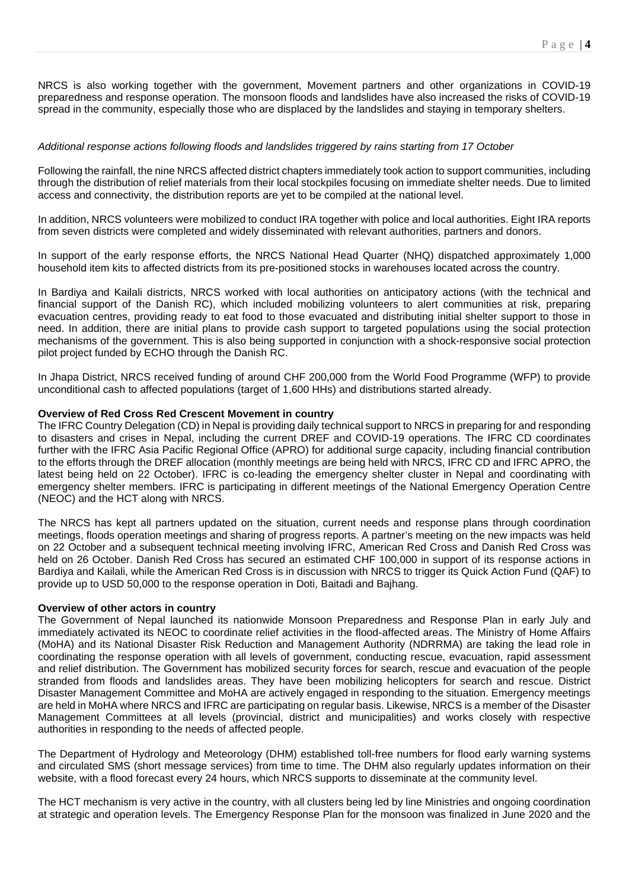NRCS is also working together with the government, Movement partners and other organizations in COVID-19 preparedness and response operation. The monsoon floods and landslides have also increased the risks of COVID-19 spread in the community, especially those who are displaced by the landslides and staying in temporary shelters.

## *Additional response actions following floods and landslides triggered by rains starting from 17 October*

Following the rainfall, the nine NRCS affected district chapters immediately took action to support communities, including through the distribution of relief materials from their local stockpiles focusing on immediate shelter needs. Due to limited access and connectivity, the distribution reports are yet to be compiled at the national level.

In addition, NRCS volunteers were mobilized to conduct IRA together with police and local authorities. Eight IRA reports from seven districts were completed and widely disseminated with relevant authorities, partners and donors.

In support of the early response efforts, the NRCS National Head Quarter (NHQ) dispatched approximately 1,000 household item kits to affected districts from its pre-positioned stocks in warehouses located across the country.

In Bardiya and Kailali districts, NRCS worked with local authorities on anticipatory actions (with the technical and financial support of the Danish RC), which included mobilizing volunteers to alert communities at risk, preparing evacuation centres, providing ready to eat food to those evacuated and distributing initial shelter support to those in need. In addition, there are initial plans to provide cash support to targeted populations using the social protection mechanisms of the government. This is also being supported in conjunction with a shock-responsive social protection pilot project funded by ECHO through the Danish RC.

In Jhapa District, NRCS received funding of around CHF 200,000 from the World Food Programme (WFP) to provide unconditional cash to affected populations (target of 1,600 HHs) and distributions started already.

## **Overview of Red Cross Red Crescent Movement in country**

The IFRC Country Delegation (CD) in Nepal is providing daily technical support to NRCS in preparing for and responding to disasters and crises in Nepal, including the current DREF and COVID-19 operations. The IFRC CD coordinates further with the IFRC Asia Pacific Regional Office (APRO) for additional surge capacity, including financial contribution to the efforts through the DREF allocation (monthly meetings are being held with NRCS, IFRC CD and IFRC APRO, the latest being held on 22 October). IFRC is co-leading the emergency shelter cluster in Nepal and coordinating with emergency shelter members. IFRC is participating in different meetings of the National Emergency Operation Centre (NEOC) and the HCT along with NRCS.

The NRCS has kept all partners updated on the situation, current needs and response plans through coordination meetings, floods operation meetings and sharing of progress reports. A partner's meeting on the new impacts was held on 22 October and a subsequent technical meeting involving IFRC, American Red Cross and Danish Red Cross was held on 26 October. Danish Red Cross has secured an estimated CHF 100,000 in support of its response actions in Bardiya and Kailali, while the American Red Cross is in discussion with NRCS to trigger its Quick Action Fund (QAF) to provide up to USD 50,000 to the response operation in Doti, Baitadi and Bajhang.

## **Overview of other actors in country**

The Government of Nepal launched its nationwide Monsoon Preparedness and Response Plan in early July and immediately activated its NEOC to coordinate relief activities in the flood-affected areas. The Ministry of Home Affairs (MoHA) and its National Disaster Risk Reduction and Management Authority (NDRRMA) are taking the lead role in coordinating the response operation with all levels of government, conducting rescue, evacuation, rapid assessment and relief distribution. The Government has mobilized security forces for search, rescue and evacuation of the people stranded from floods and landslides areas. They have been mobilizing helicopters for search and rescue. District Disaster Management Committee and MoHA are actively engaged in responding to the situation. Emergency meetings are held in MoHA where NRCS and IFRC are participating on regular basis. Likewise, NRCS is a member of the Disaster Management Committees at all levels (provincial, district and municipalities) and works closely with respective authorities in responding to the needs of affected people.

The Department of Hydrology and Meteorology (DHM) established toll-free numbers for flood early warning systems and circulated SMS (short message services) from time to time. The DHM also regularly updates information on their website, with a flood forecast every 24 hours, which NRCS supports to disseminate at the community level.

The HCT mechanism is very active in the country, with all clusters being led by line Ministries and ongoing coordination at strategic and operation levels. The Emergency Response Plan for the monsoon was finalized in June 2020 and the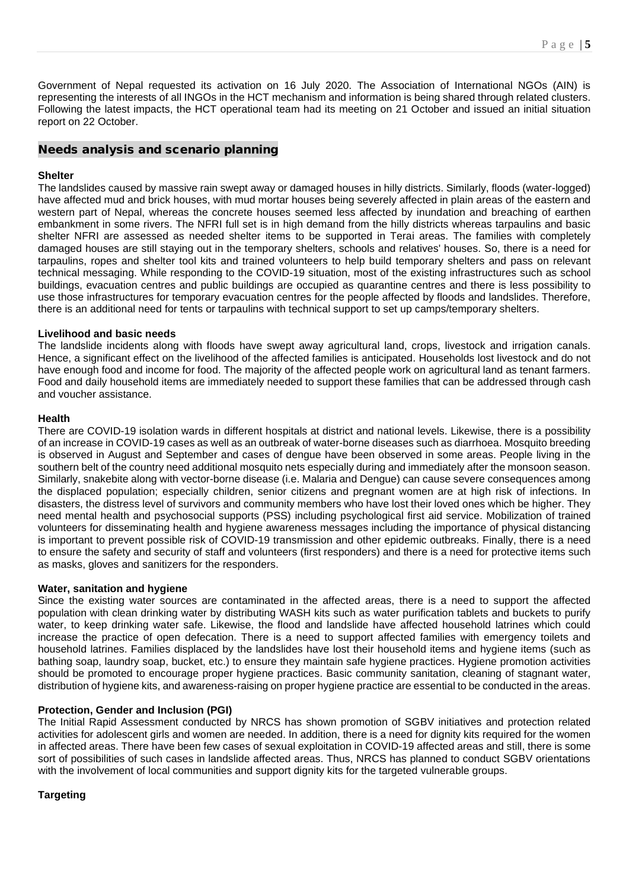Government of Nepal requested its activation on 16 July 2020. The Association of International NGOs (AIN) is representing the interests of all INGOs in the HCT mechanism and information is being shared through related clusters. Following the latest impacts, the HCT operational team had its meeting on 21 October and issued an initial situation report on 22 October.

## Needs analysis and scenario planning

## **Shelter**

The landslides caused by massive rain swept away or damaged houses in hilly districts. Similarly, floods (water-logged) have affected mud and brick houses, with mud mortar houses being severely affected in plain areas of the eastern and western part of Nepal, whereas the concrete houses seemed less affected by inundation and breaching of earthen embankment in some rivers. The NFRI full set is in high demand from the hilly districts whereas tarpaulins and basic shelter NFRI are assessed as needed shelter items to be supported in Terai areas. The families with completely damaged houses are still staying out in the temporary shelters, schools and relatives' houses. So, there is a need for tarpaulins, ropes and shelter tool kits and trained volunteers to help build temporary shelters and pass on relevant technical messaging. While responding to the COVID-19 situation, most of the existing infrastructures such as school buildings, evacuation centres and public buildings are occupied as quarantine centres and there is less possibility to use those infrastructures for temporary evacuation centres for the people affected by floods and landslides. Therefore, there is an additional need for tents or tarpaulins with technical support to set up camps/temporary shelters.

## **Livelihood and basic needs**

The landslide incidents along with floods have swept away agricultural land, crops, livestock and irrigation canals. Hence, a significant effect on the livelihood of the affected families is anticipated. Households lost livestock and do not have enough food and income for food. The majority of the affected people work on agricultural land as tenant farmers. Food and daily household items are immediately needed to support these families that can be addressed through cash and voucher assistance.

## **Health**

There are COVID-19 isolation wards in different hospitals at district and national levels. Likewise, there is a possibility of an increase in COVID-19 cases as well as an outbreak of water-borne diseases such as diarrhoea. Mosquito breeding is observed in August and September and cases of dengue have been observed in some areas. People living in the southern belt of the country need additional mosquito nets especially during and immediately after the monsoon season. Similarly, snakebite along with vector-borne disease (i.e. Malaria and Dengue) can cause severe consequences among the displaced population; especially children, senior citizens and pregnant women are at high risk of infections. In disasters, the distress level of survivors and community members who have lost their loved ones which be higher. They need mental health and psychosocial supports (PSS) including psychological first aid service. Mobilization of trained volunteers for disseminating health and hygiene awareness messages including the importance of physical distancing is important to prevent possible risk of COVID-19 transmission and other epidemic outbreaks. Finally, there is a need to ensure the safety and security of staff and volunteers (first responders) and there is a need for protective items such as masks, gloves and sanitizers for the responders.

## **Water, sanitation and hygiene**

Since the existing water sources are contaminated in the affected areas, there is a need to support the affected population with clean drinking water by distributing WASH kits such as water purification tablets and buckets to purify water, to keep drinking water safe. Likewise, the flood and landslide have affected household latrines which could increase the practice of open defecation. There is a need to support affected families with emergency toilets and household latrines. Families displaced by the landslides have lost their household items and hygiene items (such as bathing soap, laundry soap, bucket, etc.) to ensure they maintain safe hygiene practices. Hygiene promotion activities should be promoted to encourage proper hygiene practices. Basic community sanitation, cleaning of stagnant water, distribution of hygiene kits, and awareness-raising on proper hygiene practice are essential to be conducted in the areas.

## **Protection, Gender and Inclusion (PGI)**

The Initial Rapid Assessment conducted by NRCS has shown promotion of SGBV initiatives and protection related activities for adolescent girls and women are needed. In addition, there is a need for dignity kits required for the women in affected areas. There have been few cases of sexual exploitation in COVID-19 affected areas and still, there is some sort of possibilities of such cases in landslide affected areas. Thus, NRCS has planned to conduct SGBV orientations with the involvement of local communities and support dignity kits for the targeted vulnerable groups.

## **Targeting**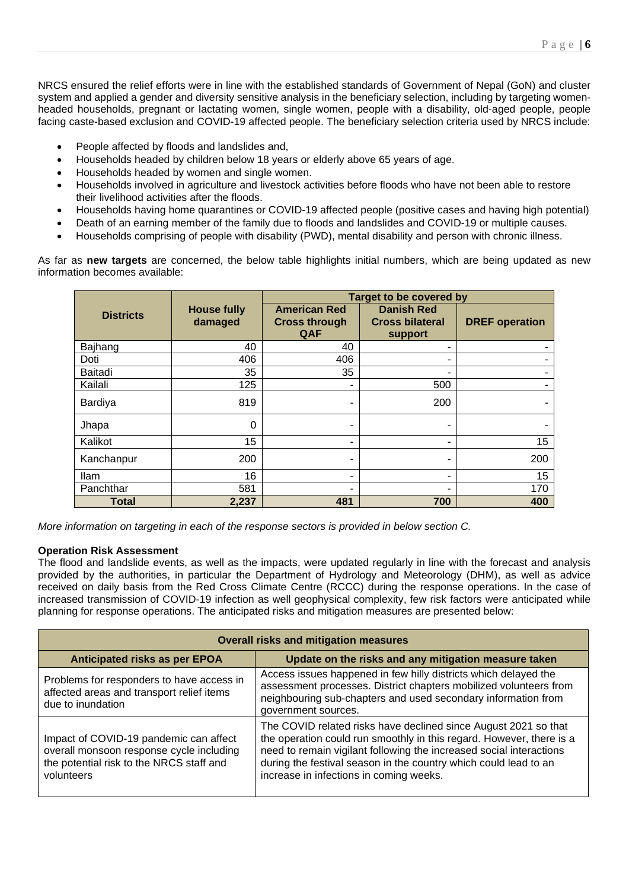NRCS ensured the relief efforts were in line with the established standards of Government of Nepal (GoN) and cluster system and applied a gender and diversity sensitive analysis in the beneficiary selection, including by targeting womenheaded households, pregnant or lactating women, single women, people with a disability, old-aged people, people facing caste-based exclusion and COVID-19 affected people. The beneficiary selection criteria used by NRCS include:

- People affected by floods and landslides and,
- Households headed by children below 18 years or elderly above 65 years of age.
- Households headed by women and single women.
- Households involved in agriculture and livestock activities before floods who have not been able to restore their livelihood activities after the floods.
- Households having home quarantines or COVID-19 affected people (positive cases and having high potential)
- Death of an earning member of the family due to floods and landslides and COVID-19 or multiple causes.
- Households comprising of people with disability (PWD), mental disability and person with chronic illness.

As far as **new targets** are concerned, the below table highlights initial numbers, which are being updated as new information becomes available:

|                  |                               | <b>Target to be covered by</b>                     |                                                        |                       |
|------------------|-------------------------------|----------------------------------------------------|--------------------------------------------------------|-----------------------|
| <b>Districts</b> | <b>House fully</b><br>damaged | <b>American Red</b><br><b>Cross through</b><br>QAF | <b>Danish Red</b><br><b>Cross bilateral</b><br>support | <b>DREF</b> operation |
| Bajhang          | 40                            | 40                                                 | ۰                                                      |                       |
| Doti             | 406                           | 406                                                | ٠                                                      |                       |
| Baitadi          | 35                            | 35                                                 | ۰                                                      | ۰                     |
| Kailali          | 125                           | ۰                                                  | 500                                                    |                       |
| <b>Bardiya</b>   | 819                           | ۰                                                  | 200                                                    |                       |
| Jhapa            | 0                             | ۰                                                  | ٠                                                      |                       |
| Kalikot          | 15                            | ۰                                                  | ۰                                                      | 15                    |
| Kanchanpur       | 200                           | ۰                                                  | $\overline{\phantom{0}}$                               | 200                   |
| <b>Ilam</b>      | 16                            | ۰                                                  | ٠                                                      | 15                    |
| Panchthar        | 581                           |                                                    | ۰                                                      | 170                   |
| <b>Total</b>     | 2,237                         | 481                                                | 700                                                    | 400                   |

*More information on targeting in each of the response sectors is provided in below section C.*

## **Operation Risk Assessment**

The flood and landslide events, as well as the impacts, were updated regularly in line with the forecast and analysis provided by the authorities, in particular the Department of Hydrology and Meteorology (DHM), as well as advice received on daily basis from the Red Cross Climate Centre (RCCC) during the response operations. In the case of increased transmission of COVID-19 infection as well geophysical complexity, few risk factors were anticipated while planning for response operations. The anticipated risks and mitigation measures are presented below:

| <b>Overall risks and mitigation measures</b>                                                                                                 |                                                                                                                                                                                                                                                                                                                               |  |
|----------------------------------------------------------------------------------------------------------------------------------------------|-------------------------------------------------------------------------------------------------------------------------------------------------------------------------------------------------------------------------------------------------------------------------------------------------------------------------------|--|
| <b>Anticipated risks as per EPOA</b>                                                                                                         | Update on the risks and any mitigation measure taken                                                                                                                                                                                                                                                                          |  |
| Problems for responders to have access in<br>affected areas and transport relief items<br>due to inundation                                  | Access issues happened in few hilly districts which delayed the<br>assessment processes. District chapters mobilized volunteers from<br>neighbouring sub-chapters and used secondary information from<br>government sources.                                                                                                  |  |
| Impact of COVID-19 pandemic can affect<br>overall monsoon response cycle including<br>the potential risk to the NRCS staff and<br>volunteers | The COVID related risks have declined since August 2021 so that<br>the operation could run smoothly in this regard. However, there is a<br>need to remain vigilant following the increased social interactions<br>during the festival season in the country which could lead to an<br>increase in infections in coming weeks. |  |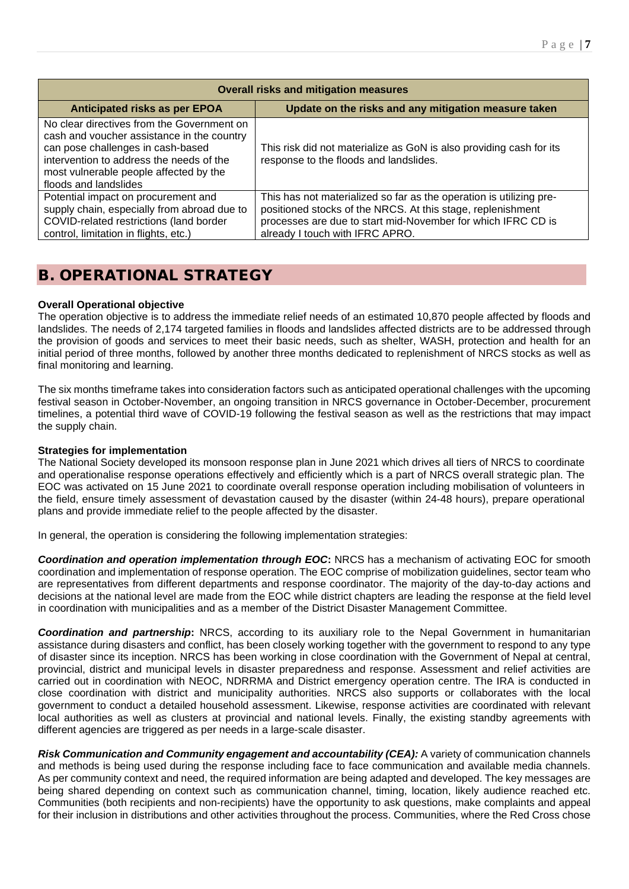| <b>Overall risks and mitigation measures</b>                                                                  |  |  |
|---------------------------------------------------------------------------------------------------------------|--|--|
| Update on the risks and any mitigation measure taken                                                          |  |  |
| This risk did not materialize as GoN is also providing cash for its<br>response to the floods and landslides. |  |  |
| This has not materialized so far as the operation is utilizing pre-                                           |  |  |
| positioned stocks of the NRCS. At this stage, replenishment                                                   |  |  |
| processes are due to start mid-November for which IFRC CD is<br>already I touch with IFRC APRO.               |  |  |
|                                                                                                               |  |  |

# B. OPERATIONAL STRATEGY

## **Overall Operational objective**

The operation objective is to address the immediate relief needs of an estimated 10,870 people affected by floods and landslides. The needs of 2,174 targeted families in floods and landslides affected districts are to be addressed through the provision of goods and services to meet their basic needs, such as shelter, WASH, protection and health for an initial period of three months, followed by another three months dedicated to replenishment of NRCS stocks as well as final monitoring and learning.

The six months timeframe takes into consideration factors such as anticipated operational challenges with the upcoming festival season in October-November, an ongoing transition in NRCS governance in October-December, procurement timelines, a potential third wave of COVID-19 following the festival season as well as the restrictions that may impact the supply chain.

## **Strategies for implementation**

The National Society developed its monsoon response plan in June 2021 which drives all tiers of NRCS to coordinate and operationalise response operations effectively and efficiently which is a part of NRCS overall strategic plan. The EOC was activated on 15 June 2021 to coordinate overall response operation including mobilisation of volunteers in the field, ensure timely assessment of devastation caused by the disaster (within 24-48 hours), prepare operational plans and provide immediate relief to the people affected by the disaster.

In general, the operation is considering the following implementation strategies:

**Coordination and operation implementation through EOC:** NRCS has a mechanism of activating EOC for smooth coordination and implementation of response operation. The EOC comprise of mobilization guidelines, sector team who are representatives from different departments and response coordinator. The majority of the day-to-day actions and decisions at the national level are made from the EOC while district chapters are leading the response at the field level in coordination with municipalities and as a member of the District Disaster Management Committee.

*Coordination and partnership***:** NRCS, according to its auxiliary role to the Nepal Government in humanitarian assistance during disasters and conflict, has been closely working together with the government to respond to any type of disaster since its inception. NRCS has been working in close coordination with the Government of Nepal at central, provincial, district and municipal levels in disaster preparedness and response. Assessment and relief activities are carried out in coordination with NEOC, NDRRMA and District emergency operation centre. The IRA is conducted in close coordination with district and municipality authorities. NRCS also supports or collaborates with the local government to conduct a detailed household assessment. Likewise, response activities are coordinated with relevant local authorities as well as clusters at provincial and national levels. Finally, the existing standby agreements with different agencies are triggered as per needs in a large-scale disaster.

*Risk Communication and Community engagement and accountability (CEA):* A variety of communication channels and methods is being used during the response including face to face communication and available media channels. As per community context and need, the required information are being adapted and developed. The key messages are being shared depending on context such as communication channel, timing, location, likely audience reached etc. Communities (both recipients and non-recipients) have the opportunity to ask questions, make complaints and appeal for their inclusion in distributions and other activities throughout the process. Communities, where the Red Cross chose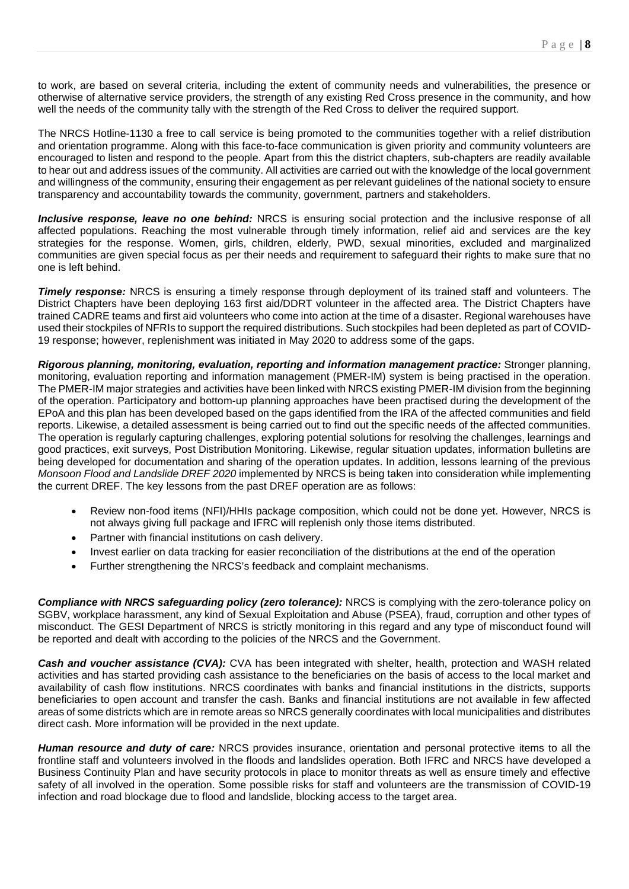to work, are based on several criteria, including the extent of community needs and vulnerabilities, the presence or otherwise of alternative service providers, the strength of any existing Red Cross presence in the community, and how well the needs of the community tally with the strength of the Red Cross to deliver the required support.

The NRCS Hotline-1130 a free to call service is being promoted to the communities together with a relief distribution and orientation programme. Along with this face-to-face communication is given priority and community volunteers are encouraged to listen and respond to the people. Apart from this the district chapters, sub-chapters are readily available to hear out and address issues of the community. All activities are carried out with the knowledge of the local government and willingness of the community, ensuring their engagement as per relevant guidelines of the national society to ensure transparency and accountability towards the community, government, partners and stakeholders.

*Inclusive response, leave no one behind:* NRCS is ensuring social protection and the inclusive response of all affected populations. Reaching the most vulnerable through timely information, relief aid and services are the key strategies for the response. Women, girls, children, elderly, PWD, sexual minorities, excluded and marginalized communities are given special focus as per their needs and requirement to safeguard their rights to make sure that no one is left behind.

*Timely response:* NRCS is ensuring a timely response through deployment of its trained staff and volunteers. The District Chapters have been deploying 163 first aid/DDRT volunteer in the affected area. The District Chapters have trained CADRE teams and first aid volunteers who come into action at the time of a disaster. Regional warehouses have used their stockpiles of NFRIs to support the required distributions. Such stockpiles had been depleted as part of COVID-19 response; however, replenishment was initiated in May 2020 to address some of the gaps.

*Rigorous planning, monitoring, evaluation, reporting and information management practice:* Stronger planning, monitoring, evaluation reporting and information management (PMER-IM) system is being practised in the operation. The PMER-IM major strategies and activities have been linked with NRCS existing PMER-IM division from the beginning of the operation. Participatory and bottom-up planning approaches have been practised during the development of the EPoA and this plan has been developed based on the gaps identified from the IRA of the affected communities and field reports. Likewise, a detailed assessment is being carried out to find out the specific needs of the affected communities. The operation is regularly capturing challenges, exploring potential solutions for resolving the challenges, learnings and good practices, exit surveys, Post Distribution Monitoring. Likewise, regular situation updates, information bulletins are being developed for documentation and sharing of the operation updates. In addition, lessons learning of the previous *Monsoon Flood and Landslide DREF 2020* implemented by NRCS is being taken into consideration while implementing the current DREF. The key lessons from the past DREF operation are as follows:

- Review non-food items (NFI)/HHIs package composition, which could not be done yet. However, NRCS is not always giving full package and IFRC will replenish only those items distributed.
- Partner with financial institutions on cash delivery.
- Invest earlier on data tracking for easier reconciliation of the distributions at the end of the operation
- Further strengthening the NRCS's feedback and complaint mechanisms.

*Compliance with NRCS safeguarding policy (zero tolerance):* NRCS is complying with the zero-tolerance policy on SGBV, workplace harassment, any kind of Sexual Exploitation and Abuse (PSEA), fraud, corruption and other types of misconduct. The GESI Department of NRCS is strictly monitoring in this regard and any type of misconduct found will be reported and dealt with according to the policies of the NRCS and the Government.

*Cash and voucher assistance (CVA):* CVA has been integrated with shelter, health, protection and WASH related activities and has started providing cash assistance to the beneficiaries on the basis of access to the local market and availability of cash flow institutions. NRCS coordinates with banks and financial institutions in the districts, supports beneficiaries to open account and transfer the cash. Banks and financial institutions are not available in few affected areas of some districts which are in remote areas so NRCS generally coordinates with local municipalities and distributes direct cash. More information will be provided in the next update.

*Human resource and duty of care:* NRCS provides insurance, orientation and personal protective items to all the frontline staff and volunteers involved in the floods and landslides operation. Both IFRC and NRCS have developed a Business Continuity Plan and have security protocols in place to monitor threats as well as ensure timely and effective safety of all involved in the operation. Some possible risks for staff and volunteers are the transmission of COVID-19 infection and road blockage due to flood and landslide, blocking access to the target area.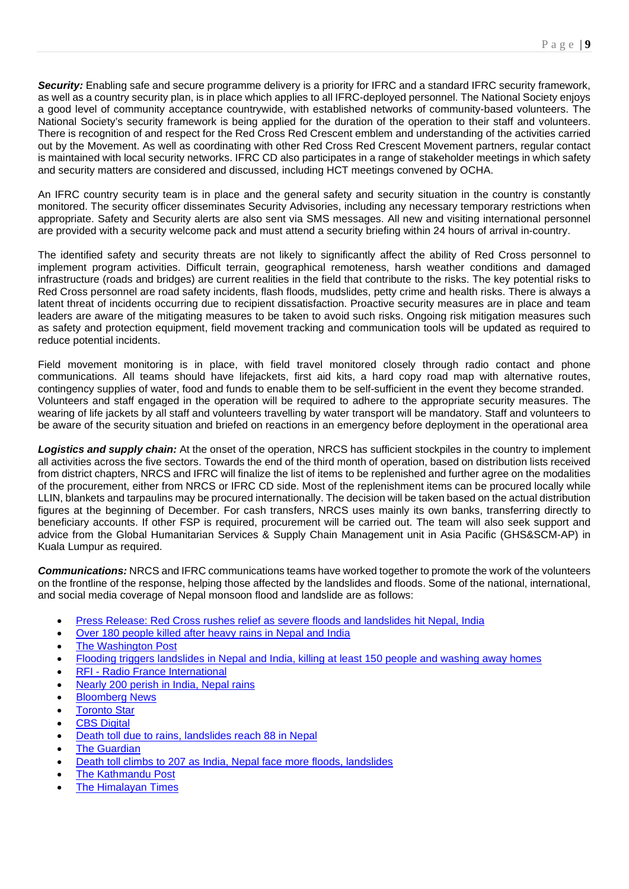*Security:* Enabling safe and secure programme delivery is a priority for IFRC and a standard IFRC security framework, as well as a country security plan, is in place which applies to all IFRC-deployed personnel. The National Society enjoys a good level of community acceptance countrywide, with established networks of community-based volunteers. The National Society's security framework is being applied for the duration of the operation to their staff and volunteers. There is recognition of and respect for the Red Cross Red Crescent emblem and understanding of the activities carried out by the Movement. As well as coordinating with other Red Cross Red Crescent Movement partners, regular contact is maintained with local security networks. IFRC CD also participates in a range of stakeholder meetings in which safety and security matters are considered and discussed, including HCT meetings convened by OCHA.

An IFRC country security team is in place and the general safety and security situation in the country is constantly monitored. The security officer disseminates Security Advisories, including any necessary temporary restrictions when appropriate. Safety and Security alerts are also sent via SMS messages. All new and visiting international personnel are provided with a security welcome pack and must attend a security briefing within 24 hours of arrival in-country.

The identified safety and security threats are not likely to significantly affect the ability of Red Cross personnel to implement program activities. Difficult terrain, geographical remoteness, harsh weather conditions and damaged infrastructure (roads and bridges) are current realities in the field that contribute to the risks. The key potential risks to Red Cross personnel are road safety incidents, flash floods, mudslides, petty crime and health risks. There is always a latent threat of incidents occurring due to recipient dissatisfaction. Proactive security measures are in place and team leaders are aware of the mitigating measures to be taken to avoid such risks. Ongoing risk mitigation measures such as safety and protection equipment, field movement tracking and communication tools will be updated as required to reduce potential incidents.

Field movement monitoring is in place, with field travel monitored closely through radio contact and phone communications. All teams should have lifejackets, first aid kits, a hard copy road map with alternative routes, contingency supplies of water, food and funds to enable them to be self-sufficient in the event they become stranded. Volunteers and staff engaged in the operation will be required to adhere to the appropriate security measures. The wearing of life jackets by all staff and volunteers travelling by water transport will be mandatory. Staff and volunteers to be aware of the security situation and briefed on reactions in an emergency before deployment in the operational area

*Logistics and supply chain:* At the onset of the operation, NRCS has sufficient stockpiles in the country to implement all activities across the five sectors. Towards the end of the third month of operation, based on distribution lists received from district chapters, NRCS and IFRC will finalize the list of items to be replenished and further agree on the modalities of the procurement, either from NRCS or IFRC CD side. Most of the replenishment items can be procured locally while LLIN, blankets and tarpaulins may be procured internationally. The decision will be taken based on the actual distribution figures at the beginning of December. For cash transfers, NRCS uses mainly its own banks, transferring directly to beneficiary accounts. If other FSP is required, procurement will be carried out. The team will also seek support and advice from the Global Humanitarian Services & Supply Chain Management unit in Asia Pacific (GHS&SCM-AP) in Kuala Lumpur as required.

*Communications:* NRCS and IFRC communications teams have worked together to promote the work of the volunteers on the frontline of the response, helping those affected by the landslides and floods. Some of the national, international, and social media coverage of Nepal monsoon flood and landslide are as follows:

- [Press Release: Red Cross rushes relief as severe floods and landslides hit Nepal, India](https://www.ifrc.org/press-release/red-cross-rushes-relief-severe-floods-and-landslides-hit-nepal-india)
- [Over 180 people killed after heavy rains in Nepal and India](https://eur02.safelinks.protection.outlook.com/?url=https%3A%2F%2Fapnews.com%2Farticle%2Fcoronavirus-pandemic-floods-health-india-nepal-c623062c1e300d32e868d3b607aa788e&data=04%7C01%7CManorama.GAUTAM%40ifrc.org%7Cf0b530836aa744a73ec208d9955b12fe%7Ca2b53be5734e4e6cab0dd184f60fd917%7C0%7C0%7C637705040655205237%7CUnknown%7CTWFpbGZsb3d8eyJWIjoiMC4wLjAwMDAiLCJQIjoiV2luMzIiLCJBTiI6Ik1haWwiLCJXVCI6Mn0%3D%7C1000&sdata=sa7yKITalLxc11xUL2kE9meu%2FRvSV1lRRAZ33CKfmRE%3D&reserved=0)
- **[The Washington Post](https://eur02.safelinks.protection.outlook.com/?url=https%3A%2F%2Fwww.washingtonpost.com%2Fworld%2Fover-180-people-killed-after-heavy-rains-in-nepal-and-india%2F2021%2F10%2F21%2F523fe670-325b-11ec-8036-7db255bff176_story.html&data=04%7C01%7CManorama.GAUTAM%40ifrc.org%7Cf0b530836aa744a73ec208d9955b12fe%7Ca2b53be5734e4e6cab0dd184f60fd917%7C0%7C0%7C637705040655215197%7CUnknown%7CTWFpbGZsb3d8eyJWIjoiMC4wLjAwMDAiLCJQIjoiV2luMzIiLCJBTiI6Ik1haWwiLCJXVCI6Mn0%3D%7C1000&sdata=ddc1QtV0s%2FWfVl5Ps9KJ6Y1EoExxNJZ2rClMbDekmUM%3D&reserved=0)**
- [Flooding triggers landslides in Nepal and India, killing at least 150 people and washing away homes](https://eur02.safelinks.protection.outlook.com/?url=https%3A%2F%2Fwww.abc.net.au%2Fnews%2F2021-10-22%2Findia-nepal-deadly-floods%2F100558832&data=04%7C01%7CManorama.GAUTAM%40ifrc.org%7Cf0b530836aa744a73ec208d9955b12fe%7Ca2b53be5734e4e6cab0dd184f60fd917%7C0%7C0%7C637705040655404362%7CUnknown%7CTWFpbGZsb3d8eyJWIjoiMC4wLjAwMDAiLCJQIjoiV2luMzIiLCJBTiI6Ik1haWwiLCJXVCI6Mn0%3D%7C1000&sdata=VurMSlrcKcae%2FUWd2nMzCKYRp%2B4YuCwlTVMOdw%2B9yfs%3D&reserved=0)
- **[RFI -](https://eur02.safelinks.protection.outlook.com/?url=https%3A%2F%2Fwww.rfi.fr%2Fen%2Fnearly-200-perish-in-india-nepal-rains-1&data=04%7C01%7CManorama.GAUTAM%40ifrc.org%7Cf0b530836aa744a73ec208d9955b12fe%7Ca2b53be5734e4e6cab0dd184f60fd917%7C0%7C0%7C637705040655374496%7CUnknown%7CTWFpbGZsb3d8eyJWIjoiMC4wLjAwMDAiLCJQIjoiV2luMzIiLCJBTiI6Ik1haWwiLCJXVCI6Mn0%3D%7C1000&sdata=aOT6Iv%2BjLh37Gl1MjFegwN7xc6rFcewEyCnpm1m7iXI%3D&reserved=0) [Radio France International](https://eur02.safelinks.protection.outlook.com/?url=https%3A%2F%2Fwww.rfi.fr%2Fen%2Fnearly-200-perish-in-india-nepal-rains-1&data=04%7C01%7CManorama.GAUTAM%40ifrc.org%7Cf0b530836aa744a73ec208d9955b12fe%7Ca2b53be5734e4e6cab0dd184f60fd917%7C0%7C0%7C637705040655374496%7CUnknown%7CTWFpbGZsb3d8eyJWIjoiMC4wLjAwMDAiLCJQIjoiV2luMzIiLCJBTiI6Ik1haWwiLCJXVCI6Mn0%3D%7C1000&sdata=aOT6Iv%2BjLh37Gl1MjFegwN7xc6rFcewEyCnpm1m7iXI%3D&reserved=0)**
- [Nearly 200 perish in India, Nepal rains](https://eur02.safelinks.protection.outlook.com/?url=https%3A%2F%2Fwww.france24.com%2Fen%2Flive-news%2F20211021-nearly-200-perish-in-india-nepal-rains-1&data=04%7C01%7CManorama.GAUTAM%40ifrc.org%7Cf0b530836aa744a73ec208d9955b12fe%7Ca2b53be5734e4e6cab0dd184f60fd917%7C0%7C0%7C637705040655354581%7CUnknown%7CTWFpbGZsb3d8eyJWIjoiMC4wLjAwMDAiLCJQIjoiV2luMzIiLCJBTiI6Ik1haWwiLCJXVCI6Mn0%3D%7C1000&sdata=Yh%2FhfntindEVy38a2thfzc95QqoRK5ggTjrjcGPhg9Y%3D&reserved=0)
- **[Bloomberg News](https://eur02.safelinks.protection.outlook.com/?url=https%3A%2F%2Fwww.bloomberg.com%2Fnews%2Farticles%2F2021-10-21%2Fover-180-people-killed-after-heavy-rains-in-nepal-and-india&data=04%7C01%7CManorama.GAUTAM%40ifrc.org%7Cf0b530836aa744a73ec208d9955b12fe%7Ca2b53be5734e4e6cab0dd184f60fd917%7C0%7C0%7C637705040655274930%7CUnknown%7CTWFpbGZsb3d8eyJWIjoiMC4wLjAwMDAiLCJQIjoiV2luMzIiLCJBTiI6Ik1haWwiLCJXVCI6Mn0%3D%7C1000&sdata=uox%2FlBgKUZVSupdbVT202dV9GbppR5pzz2%2BRzJup7Ig%3D&reserved=0)**
- **[Toronto Star](https://eur02.safelinks.protection.outlook.com/?url=https%3A%2F%2Fwww.thestar.com%2Fnews%2Fworld%2Fasia%2F2021%2F10%2F21%2Fover-180-people-killed-after-heavy-rains-in-nepal-and-india.html&data=04%7C01%7CManorama.GAUTAM%40ifrc.org%7Cf0b530836aa744a73ec208d9955b12fe%7Ca2b53be5734e4e6cab0dd184f60fd917%7C0%7C0%7C637705040655245063%7CUnknown%7CTWFpbGZsb3d8eyJWIjoiMC4wLjAwMDAiLCJQIjoiV2luMzIiLCJBTiI6Ik1haWwiLCJXVCI6Mn0%3D%7C1000&sdata=Z%2BXC36K8otq9zPVba4O%2FJ96WNqSCBMIZvAFcPA1Zpyw%3D&reserved=0)**
- **CBS** Digital
- [Death toll due to rains, landslides reach 88 in Nepal](https://eur02.safelinks.protection.outlook.com/?url=https%3A%2F%2Fwww.laprensalatina.com%2Fdeath-toll-due-to-rains-landslides-reach-88-in-nepal%2F&data=04%7C01%7CManorama.GAUTAM%40ifrc.org%7Cf0b530836aa744a73ec208d9955b12fe%7Ca2b53be5734e4e6cab0dd184f60fd917%7C0%7C0%7C637705040655404362%7CUnknown%7CTWFpbGZsb3d8eyJWIjoiMC4wLjAwMDAiLCJQIjoiV2luMzIiLCJBTiI6Ik1haWwiLCJXVCI6Mn0%3D%7C1000&sdata=KdQk3YjCWHGWhtZbh4OMZR3zZyUoEXFkazX4C6lJeVw%3D&reserved=0)
- **[The Guardian](https://www.theguardian.com/world/2021/oct/20/many-dead-in-flooding-and-landslides-in-northern-india)**
- [Death toll climbs to 207 as India, Nepal face more floods, landslides](https://eur02.safelinks.protection.outlook.com/?url=https%3A%2F%2Fwww.saudigazette.com.sa%2Farticle%2F612530&data=04%7C01%7CManorama.GAUTAM%40ifrc.org%7Cf0b530836aa744a73ec208d9955b12fe%7Ca2b53be5734e4e6cab0dd184f60fd917%7C0%7C0%7C637705040655414319%7CUnknown%7CTWFpbGZsb3d8eyJWIjoiMC4wLjAwMDAiLCJQIjoiV2luMzIiLCJBTiI6Ik1haWwiLCJXVCI6Mn0%3D%7C1000&sdata=b%2F0cH7EEF9%2Fb1KEhz9sOUemwBU2VwklL%2BAfk1GKr188%3D&reserved=0)
- [The Kathmandu Post](https://kathmandupost.com/national/2021/08/30/nine-dead-90-000-affected-as-heavy-rains-over-past-three-days-trigger-floods-landslides)
- [The Himalayan Times](https://epaper.thehimalayantimes.com/html5/reader/production/default.aspx?pubname=&pubid=cd7278e2-4150-475f-8abe-305e5ed57783)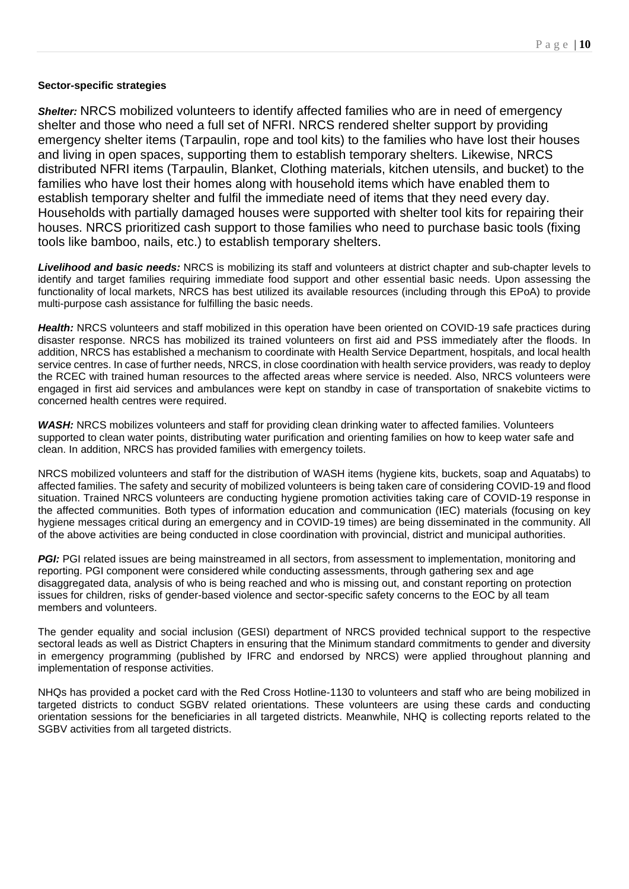## **Sector-specific strategies**

*Shelter:* NRCS mobilized volunteers to identify affected families who are in need of emergency shelter and those who need a full set of NFRI. NRCS rendered shelter support by providing emergency shelter items (Tarpaulin, rope and tool kits) to the families who have lost their houses and living in open spaces, supporting them to establish temporary shelters. Likewise, NRCS distributed NFRI items (Tarpaulin, Blanket, Clothing materials, kitchen utensils, and bucket) to the families who have lost their homes along with household items which have enabled them to establish temporary shelter and fulfil the immediate need of items that they need every day. Households with partially damaged houses were supported with shelter tool kits for repairing their houses. NRCS prioritized cash support to those families who need to purchase basic tools (fixing tools like bamboo, nails, etc.) to establish temporary shelters.

*Livelihood and basic needs:* NRCS is mobilizing its staff and volunteers at district chapter and sub-chapter levels to identify and target families requiring immediate food support and other essential basic needs. Upon assessing the functionality of local markets, NRCS has best utilized its available resources (including through this EPoA) to provide multi-purpose cash assistance for fulfilling the basic needs.

*Health:* NRCS volunteers and staff mobilized in this operation have been oriented on COVID-19 safe practices during disaster response. NRCS has mobilized its trained volunteers on first aid and PSS immediately after the floods. In addition, NRCS has established a mechanism to coordinate with Health Service Department, hospitals, and local health service centres. In case of further needs, NRCS, in close coordination with health service providers, was ready to deploy the RCEC with trained human resources to the affected areas where service is needed. Also, NRCS volunteers were engaged in first aid services and ambulances were kept on standby in case of transportation of snakebite victims to concerned health centres were required.

*WASH:* NRCS mobilizes volunteers and staff for providing clean drinking water to affected families. Volunteers supported to clean water points, distributing water purification and orienting families on how to keep water safe and clean. In addition, NRCS has provided families with emergency toilets.

NRCS mobilized volunteers and staff for the distribution of WASH items (hygiene kits, buckets, soap and Aquatabs) to affected families. The safety and security of mobilized volunteers is being taken care of considering COVID-19 and flood situation. Trained NRCS volunteers are conducting hygiene promotion activities taking care of COVID-19 response in the affected communities. Both types of information education and communication (IEC) materials (focusing on key hygiene messages critical during an emergency and in COVID-19 times) are being disseminated in the community. All of the above activities are being conducted in close coordination with provincial, district and municipal authorities.

PGI: PGI related issues are being mainstreamed in all sectors, from assessment to implementation, monitoring and reporting. PGI component were considered while conducting assessments, through gathering sex and age disaggregated data, analysis of who is being reached and who is missing out, and constant reporting on protection issues for children, risks of gender-based violence and sector-specific safety concerns to the EOC by all team members and volunteers.

The gender equality and social inclusion (GESI) department of NRCS provided technical support to the respective sectoral leads as well as District Chapters in ensuring that the Minimum standard commitments to gender and diversity in emergency programming (published by IFRC and endorsed by NRCS) were applied throughout planning and implementation of response activities.

NHQs has provided a pocket card with the Red Cross Hotline-1130 to volunteers and staff who are being mobilized in targeted districts to conduct SGBV related orientations. These volunteers are using these cards and conducting orientation sessions for the beneficiaries in all targeted districts. Meanwhile, NHQ is collecting reports related to the SGBV activities from all targeted districts.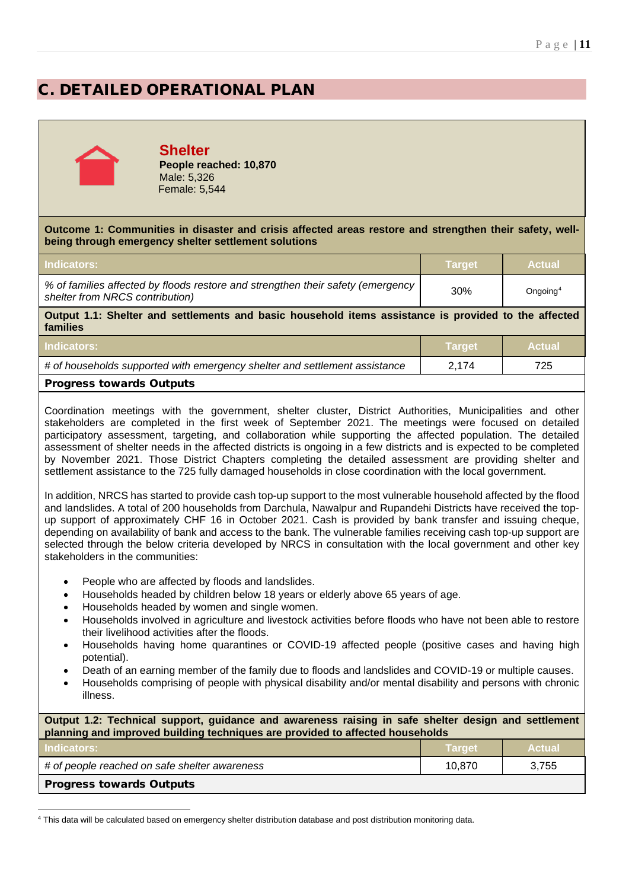# C. DETAILED OPERATIONAL PLAN



## **Shelter People reached: 10,870**

Male: 5,326 Female: 5,544

**Outcome 1: Communities in disaster and crisis affected areas restore and strengthen their safety, wellbeing through emergency shelter settlement solutions**

| <b>Indicators:</b>                                                                                                   | Target | <b>Actual</b>        |
|----------------------------------------------------------------------------------------------------------------------|--------|----------------------|
| % of families affected by floods restore and strengthen their safety (emergency  <br>shelter from NRCS contribution) | 30%    | Ongoing <sup>4</sup> |
| Output 1.1. Shalter and sottlements and basic household items assistance is provided to the affected                 |        |                      |

**Output 1.1: Shelter and settlements and basic household items assistance is provided to the affected families**

| Dussies and the contract Orchards                                          |                   |               |
|----------------------------------------------------------------------------|-------------------|---------------|
| # of households supported with emergency shelter and settlement assistance | 2.174             |               |
| <b>Indicators:</b>                                                         | <b>∖ Target</b> \ | <b>Actual</b> |

## Progress towards Outputs

Coordination meetings with the government, shelter cluster, District Authorities, Municipalities and other stakeholders are completed in the first week of September 2021. The meetings were focused on detailed participatory assessment, targeting, and collaboration while supporting the affected population. The detailed assessment of shelter needs in the affected districts is ongoing in a few districts and is expected to be completed by November 2021. Those District Chapters completing the detailed assessment are providing shelter and settlement assistance to the 725 fully damaged households in close coordination with the local government.

In addition, NRCS has started to provide cash top-up support to the most vulnerable household affected by the flood and landslides. A total of 200 households from Darchula, Nawalpur and Rupandehi Districts have received the topup support of approximately CHF 16 in October 2021. Cash is provided by bank transfer and issuing cheque, depending on availability of bank and access to the bank. The vulnerable families receiving cash top-up support are selected through the below criteria developed by NRCS in consultation with the local government and other key stakeholders in the communities:

- People who are affected by floods and landslides.
- Households headed by children below 18 years or elderly above 65 years of age.
- Households headed by women and single women.
- Households involved in agriculture and livestock activities before floods who have not been able to restore their livelihood activities after the floods.
- Households having home quarantines or COVID-19 affected people (positive cases and having high potential).
- Death of an earning member of the family due to floods and landslides and COVID-19 or multiple causes.
- Households comprising of people with physical disability and/or mental disability and persons with chronic illness.

| Output 1.2: Technical support, guidance and awareness raising in safe shelter design and settlement<br>planning and improved building techniques are provided to affected households |               |               |
|--------------------------------------------------------------------------------------------------------------------------------------------------------------------------------------|---------------|---------------|
| <b>Indicators:</b>                                                                                                                                                                   | <b>Target</b> | <b>Actual</b> |
| # of people reached on safe shelter awareness                                                                                                                                        | 10.870        | 3,755         |
| <b>Progress towards Outputs</b>                                                                                                                                                      |               |               |

<span id="page-10-0"></span><sup>4</sup> This data will be calculated based on emergency shelter distribution database and post distribution monitoring data.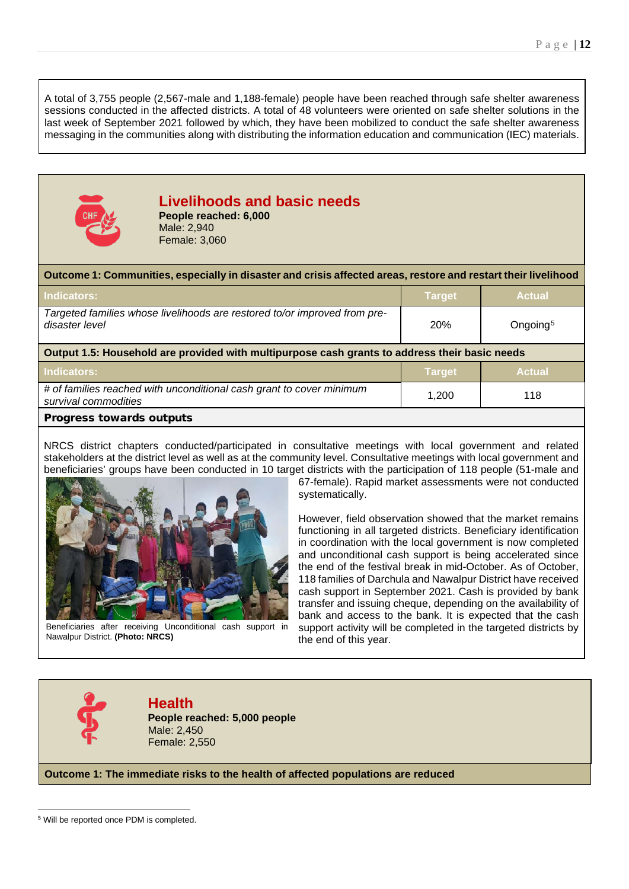A total of 3,755 people (2,567-male and 1,188-female) people have been reached through safe shelter awareness sessions conducted in the affected districts. A total of 48 volunteers were oriented on safe shelter solutions in the last week of September 2021 followed by which, they have been mobilized to conduct the safe shelter awareness messaging in the communities along with distributing the information education and communication (IEC) materials.



## **Livelihoods and basic needs People reached: 6,000**

Male: 2,940 Female: 3,060

## **Outcome 1: Communities, especially in disaster and crisis affected areas, restore and restart their livelihood**

| <b>Indicators:</b>                                                                          | ∣Tarɑet <sup>'</sup> | <b>Actual</b>        |
|---------------------------------------------------------------------------------------------|----------------------|----------------------|
| Targeted families whose livelihoods are restored to/or improved from pre-<br>disaster level | <b>20%</b>           | Ongoing <sup>5</sup> |

**Output 1.5: Household are provided with multipurpose cash grants to address their basic needs**

| Indicators:                                                                                  | <b>Target</b> | <b>Actual</b> |
|----------------------------------------------------------------------------------------------|---------------|---------------|
| # of families reached with unconditional cash grant to cover minimum<br>survival commodities | 1.200         | 118           |
| <b>Progress towards outputs</b>                                                              |               |               |

NRCS district chapters conducted/participated in consultative meetings with local government and related stakeholders at the district level as well as at the community level. Consultative meetings with local government and beneficiaries' groups have been conducted in 10 target districts with the participation of 118 people (51-male and



Beneficiaries after receiving Unconditional cash support in Nawalpur District. **(Photo: NRCS)**

67-female). Rapid market assessments were not conducted systematically.

However, field observation showed that the market remains functioning in all targeted districts. Beneficiary identification in coordination with the local government is now completed and unconditional cash support is being accelerated since the end of the festival break in mid-October. As of October, 118 families of Darchula and Nawalpur District have received cash support in September 2021. Cash is provided by bank transfer and issuing cheque, depending on the availability of bank and access to the bank. It is expected that the cash support activity will be completed in the targeted districts by the end of this year.



**Health People reached: 5,000 people** Male: 2,450 Female: 2,550

**Outcome 1: The immediate risks to the health of affected populations are reduced**

<span id="page-11-0"></span><sup>5</sup> Will be reported once PDM is completed.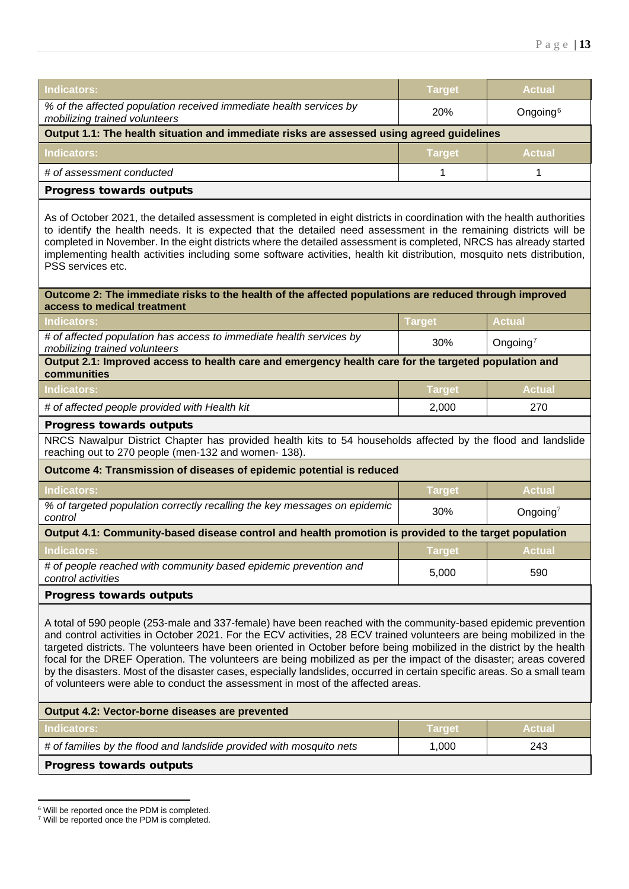| <b>Target</b>                                                                             | <b>Actual</b>        |  |
|-------------------------------------------------------------------------------------------|----------------------|--|
| <b>20%</b>                                                                                | Ongoing <sup>6</sup> |  |
| Output 1.1: The health situation and immediate risks are assessed using agreed guidelines |                      |  |
| <b>Target</b>                                                                             | <b>Actual</b>        |  |
|                                                                                           |                      |  |
|                                                                                           |                      |  |
|                                                                                           |                      |  |

As of October 2021, the detailed assessment is completed in eight districts in coordination with the health authorities to identify the health needs. It is expected that the detailed need assessment in the remaining districts will be completed in November. In the eight districts where the detailed assessment is completed, NRCS has already started implementing health activities including some software activities, health kit distribution, mosquito nets distribution, PSS services etc.

## **Outcome 2: The immediate risks to the health of the affected populations are reduced through improved access to medical treatment**

| Indicators:                                                                                                         | <b>Target</b> | <b>Actual</b>        |
|---------------------------------------------------------------------------------------------------------------------|---------------|----------------------|
| # of affected population has access to immediate health services by<br>mobilizing trained volunteers                | 30%           | Ongoing <sup>7</sup> |
| Output 2.1: Improved access to health care and emergency health care for the targeted population and<br>communities |               |                      |
| Indicators:                                                                                                         | <b>Target</b> | <b>Actual</b>        |
| # of affected people provided with Health kit                                                                       | 2.000         | 270                  |

## Progress towards outputs

NRCS Nawalpur District Chapter has provided health kits to 54 households affected by the flood and landslide reaching out to 270 people (men-132 and women- 138).

| Outcome 4: Transmission of diseases of epidemic potential is reduced                                  |               |               |
|-------------------------------------------------------------------------------------------------------|---------------|---------------|
| <b>Indicators:</b>                                                                                    | <b>Target</b> | <b>Actual</b> |
| % of targeted population correctly recalling the key messages on epidemic<br>control                  | 30%           | Ongoing $^7$  |
| Output 4.1: Community-based disease control and health promotion is provided to the target population |               |               |
| <b>Indicators:</b>                                                                                    | <b>Target</b> | <b>Actual</b> |
| # of people reached with community based epidemic prevention and<br>control activities                | 5.000         | 590           |
| <b>Progress towards outputs</b>                                                                       |               |               |

A total of 590 people (253-male and 337-female) have been reached with the community-based epidemic prevention and control activities in October 2021. For the ECV activities, 28 ECV trained volunteers are being mobilized in the targeted districts. The volunteers have been oriented in October before being mobilized in the district by the health focal for the DREF Operation. The volunteers are being mobilized as per the impact of the disaster; areas covered by the disasters. Most of the disaster cases, especially landslides, occurred in certain specific areas. So a small team of volunteers were able to conduct the assessment in most of the affected areas.

| Output 4.2: Vector-borne diseases are prevented                      |               |               |
|----------------------------------------------------------------------|---------------|---------------|
| Indicators:                                                          | <b>Target</b> | <b>Actual</b> |
| # of families by the flood and landslide provided with mosquito nets | 1.000         | 243           |
| <b>Progress towards outputs</b>                                      |               |               |

<span id="page-12-0"></span><sup>6</sup> Will be reported once the PDM is completed.

<span id="page-12-1"></span><sup>7</sup> Will be reported once the PDM is completed.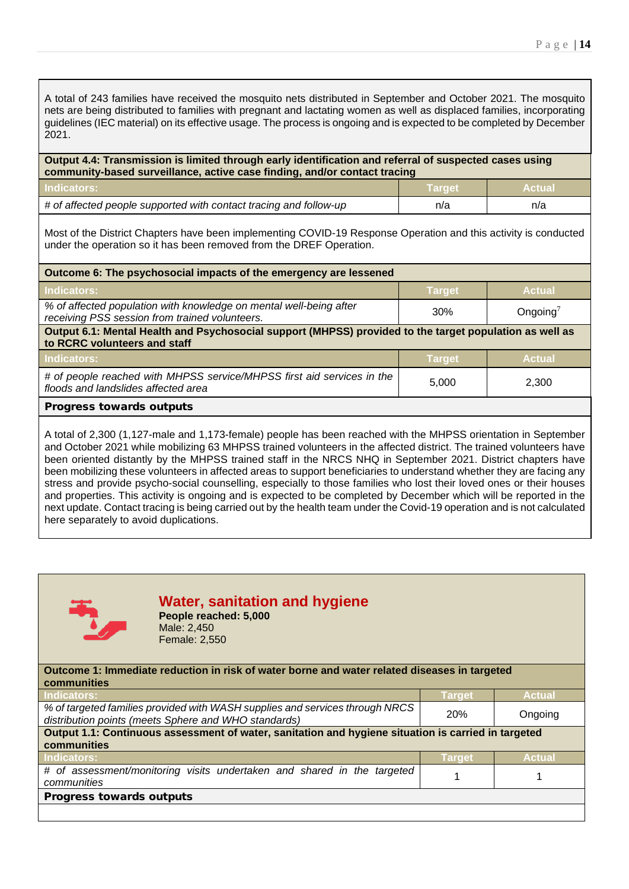A total of 243 families have received the mosquito nets distributed in September and October 2021. The mosquito nets are being distributed to families with pregnant and lactating women as well as displaced families, incorporating guidelines (IEC material) on its effective usage. The process is ongoing and is expected to be completed by December 2021.

| Output 4.4: Transmission is limited through early identification and referral of suspected cases using<br>community-based surveillance, active case finding, and/or contact tracing |               |               |
|-------------------------------------------------------------------------------------------------------------------------------------------------------------------------------------|---------------|---------------|
| Indicators:                                                                                                                                                                         | <b>Target</b> | <b>Actual</b> |
| # of affected people supported with contact tracing and follow-up                                                                                                                   | n/a           | n/a           |

Most of the District Chapters have been implementing COVID-19 Response Operation and this activity is conducted under the operation so it has been removed from the DREF Operation.

| Outcome 6: The psychosocial impacts of the emergency are lessened                                                                       |               |               |
|-----------------------------------------------------------------------------------------------------------------------------------------|---------------|---------------|
| <b>Indicators:</b>                                                                                                                      | <b>Target</b> | <b>Actual</b> |
| % of affected population with knowledge on mental well-being after<br>receiving PSS session from trained volunteers.                    | 30%           | Ongoing $^7$  |
| Output 6.1: Mental Health and Psychosocial support (MHPSS) provided to the target population as well as<br>to RCRC volunteers and staff |               |               |
| Indicators:                                                                                                                             | <b>Target</b> | <b>Actual</b> |
| # of people reached with MHPSS service/MHPSS first aid services in the<br>floods and landslides affected area                           | 5,000         | 2.300         |
| <b>Progress towards outputs</b>                                                                                                         |               |               |
|                                                                                                                                         |               |               |

A total of 2,300 (1,127-male and 1,173-female) people has been reached with the MHPSS orientation in September and October 2021 while mobilizing 63 MHPSS trained volunteers in the affected district. The trained volunteers have been oriented distantly by the MHPSS trained staff in the NRCS NHQ in September 2021. District chapters have been mobilizing these volunteers in affected areas to support beneficiaries to understand whether they are facing any stress and provide psycho-social counselling, especially to those families who lost their loved ones or their houses and properties. This activity is ongoing and is expected to be completed by December which will be reported in the next update. Contact tracing is being carried out by the health team under the Covid-19 operation and is not calculated here separately to avoid duplications.



## **Water, sanitation and hygiene**

**People reached: 5,000** Male: 2,450 Female: 2,550

**Outcome 1: Immediate reduction in risk of water borne and water related diseases in targeted communities**

| Indicators:                                                                                                                          | Target | <b>Actual</b> |
|--------------------------------------------------------------------------------------------------------------------------------------|--------|---------------|
| % of targeted families provided with WASH supplies and services through NRCS<br>distribution points (meets Sphere and WHO standards) | 20%    | Ongoing       |
| Output 1.1: Continuous assessment of water, sanitation and hygiene situation is carried in targeted                                  |        |               |
| communities                                                                                                                          |        |               |
| Indicators:                                                                                                                          | Target | <b>Actual</b> |
| # of assessment/monitoring visits undertaken and shared in the targeted<br>communities                                               |        |               |
| Progress towards outputs                                                                                                             |        |               |
|                                                                                                                                      |        |               |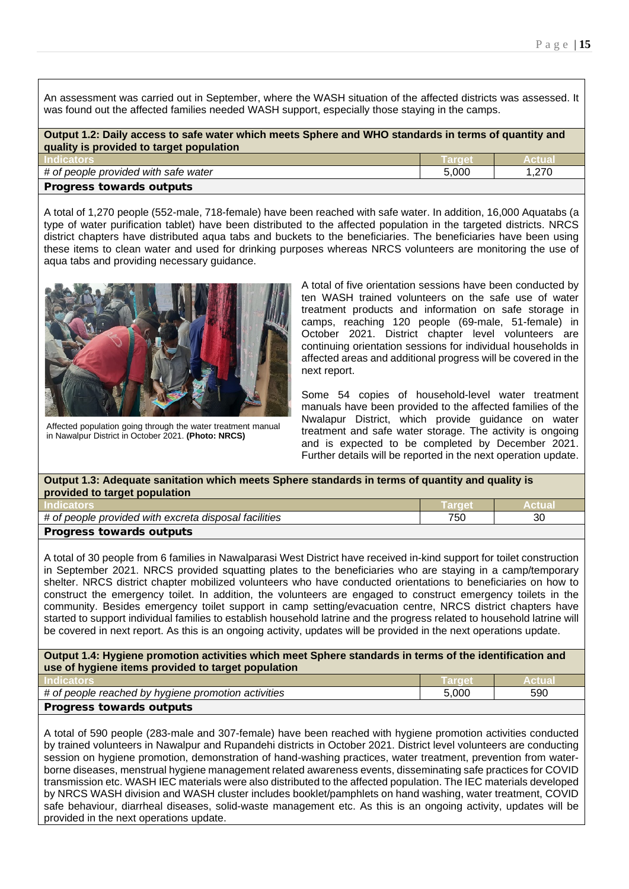An assessment was carried out in September, where the WASH situation of the affected districts was assessed. It was found out the affected families needed WASH support, especially those staying in the camps.

| Output 1.2: Daily access to safe water which meets Sphere and WHO standards in terms of quantity and |               |           |
|------------------------------------------------------------------------------------------------------|---------------|-----------|
| quality is provided to target population                                                             |               |           |
| <b>Indicators</b>                                                                                    | <b>Target</b> | ⊦Actual \ |

| <b>HIGICALOIS</b>                    |       |      |
|--------------------------------------|-------|------|
| # of people provided with safe water | 5.000 | .270 |
| <b>Progress towards outputs</b>      |       |      |

A total of 1,270 people (552-male, 718-female) have been reached with safe water. In addition, 16,000 Aquatabs (a type of water purification tablet) have been distributed to the affected population in the targeted districts. NRCS district chapters have distributed aqua tabs and buckets to the beneficiaries. The beneficiaries have been using these items to clean water and used for drinking purposes whereas NRCS volunteers are monitoring the use of aqua tabs and providing necessary guidance.



Affected population going through the water treatment manual in Nawalpur District in October 2021. **(Photo: NRCS)**

A total of five orientation sessions have been conducted by ten WASH trained volunteers on the safe use of water treatment products and information on safe storage in camps, reaching 120 people (69-male, 51-female) in October 2021. District chapter level volunteers are continuing orientation sessions for individual households in affected areas and additional progress will be covered in the next report.

Some 54 copies of household-level water treatment manuals have been provided to the affected families of the Nwalapur District, which provide guidance on water treatment and safe water storage. The activity is ongoing and is expected to be completed by December 2021. Further details will be reported in the next operation update.

| Output 1.3: Adequate sanitation which meets Sphere standards in terms of quantity and quality is<br>provided to target population |     |     |  |  |
|-----------------------------------------------------------------------------------------------------------------------------------|-----|-----|--|--|
| <b>Indicators</b><br>/ Target.<br><b>Actual</b>                                                                                   |     |     |  |  |
|                                                                                                                                   | ___ | - - |  |  |

| # of people provided with excreta disposal facilities | 750 | $\sim$<br>JΟ |
|-------------------------------------------------------|-----|--------------|
| Progress towards outputs                              |     |              |

A total of 30 people from 6 families in Nawalparasi West District have received in-kind support for toilet construction in September 2021. NRCS provided squatting plates to the beneficiaries who are staying in a camp/temporary shelter. NRCS district chapter mobilized volunteers who have conducted orientations to beneficiaries on how to construct the emergency toilet. In addition, the volunteers are engaged to construct emergency toilets in the community. Besides emergency toilet support in camp setting/evacuation centre, NRCS district chapters have started to support individual families to establish household latrine and the progress related to household latrine will be covered in next report. As this is an ongoing activity, updates will be provided in the next operations update.

**Output 1.4: Hygiene promotion activities which meet Sphere standards in terms of the identification and use of hygiene items provided to target population**

| <b>Indicators</b>                                   |       | Actual |
|-----------------------------------------------------|-------|--------|
| # of people reached by hygiene promotion activities | 5.000 | 590    |
| <b>Progress towards outputs</b>                     |       |        |

A total of 590 people (283-male and 307-female) have been reached with hygiene promotion activities conducted by trained volunteers in Nawalpur and Rupandehi districts in October 2021. District level volunteers are conducting session on hygiene promotion, demonstration of hand-washing practices, water treatment, prevention from waterborne diseases, menstrual hygiene management related awareness events, disseminating safe practices for COVID transmission etc. WASH IEC materials were also distributed to the affected population. The IEC materials developed by NRCS WASH division and WASH cluster includes booklet/pamphlets on hand washing, water treatment, COVID safe behaviour, diarrheal diseases, solid-waste management etc. As this is an ongoing activity, updates will be provided in the next operations update.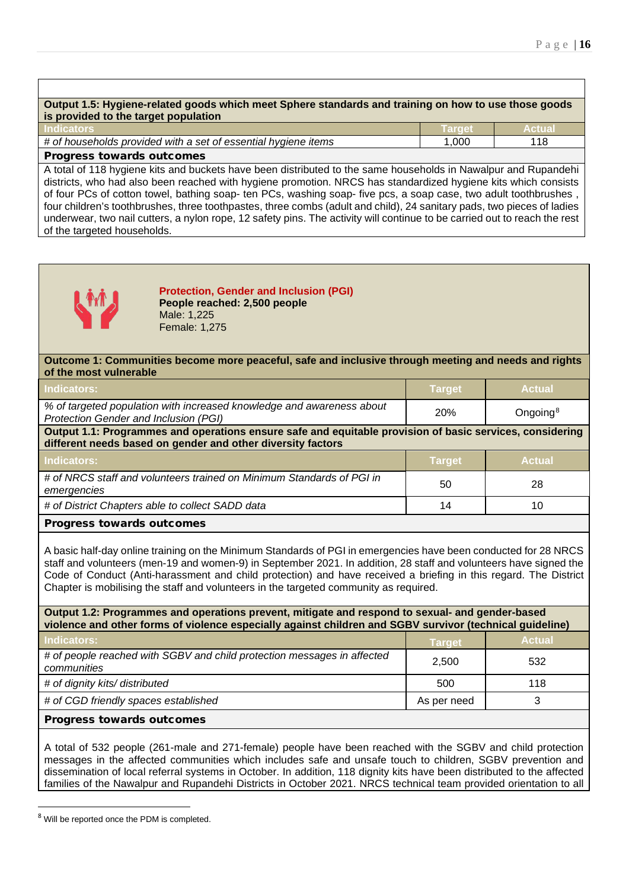| Output 1.5: Hygiene-related goods which meet Sphere standards and training on how to use those goods           |        |               |
|----------------------------------------------------------------------------------------------------------------|--------|---------------|
| is provided to the target population                                                                           |        |               |
| <b>Indicators</b>                                                                                              | Target | <b>Actual</b> |
| # of households provided with a set of essential hygiene items                                                 | 1.000  | 118           |
| <b>Progress towards outcomes</b>                                                                               |        |               |
| A total of 118 hygiene kits and buckets have been distributed to the same bouseholds in Nawalpur and Rupandebi |        |               |

A total of 118 hygiene kits and buckets have been distributed to the same households in Nawalpur and Rupandehi districts, who had also been reached with hygiene promotion. NRCS has standardized hygiene kits which consists of four PCs of cotton towel, bathing soap- ten PCs, washing soap- five pcs, a soap case, two adult toothbrushes , four children's toothbrushes, three toothpastes, three combs (adult and child), 24 sanitary pads, two pieces of ladies underwear, two nail cutters, a nylon rope, 12 safety pins. The activity will continue to be carried out to reach the rest of the targeted households.



**Protection, Gender and Inclusion (PGI) People reached: 2,500 people** Male: 1,225 Female: 1,275

**Outcome 1: Communities become more peaceful, safe and inclusive through meeting and needs and rights of the most vulnerable**

| Indicators:                                                                                                           | <b>Target</b> | <b>Actual</b>        |
|-----------------------------------------------------------------------------------------------------------------------|---------------|----------------------|
| % of targeted population with increased knowledge and awareness about<br><b>Protection Gender and Inclusion (PGI)</b> | 20%           | Ongoing <sup>8</sup> |

**Output 1.1: Programmes and operations ensure safe and equitable provision of basic services, considering different needs based on gender and other diversity factors**

| <b>Indicators:</b>                                                                   | <b>Target</b> | <b>Actual</b> |
|--------------------------------------------------------------------------------------|---------------|---------------|
| # of NRCS staff and volunteers trained on Minimum Standards of PGI in<br>emergencies | 50            | 28            |
| # of District Chapters able to collect SADD data                                     | 14            | 10            |
| <b>Progress towards outcomes</b>                                                     |               |               |

A basic half-day online training on the Minimum Standards of PGI in emergencies have been conducted for 28 NRCS staff and volunteers (men-19 and women-9) in September 2021. In addition, 28 staff and volunteers have signed the Code of Conduct (Anti-harassment and child protection) and have received a briefing in this regard. The District Chapter is mobilising the staff and volunteers in the targeted community as required.

| Output 1.2: Programmes and operations prevent, mitigate and respond to sexual- and gender-based<br>violence and other forms of violence especially against children and SGBV survivor (technical guideline) |               |               |  |
|-------------------------------------------------------------------------------------------------------------------------------------------------------------------------------------------------------------|---------------|---------------|--|
| Indicators:                                                                                                                                                                                                 | <b>Target</b> | <b>Actual</b> |  |
| # of people reached with SGBV and child protection messages in affected<br>communities                                                                                                                      | 2,500         | 532           |  |
| # of dignity kits/ distributed                                                                                                                                                                              | 500           | 118           |  |
| # of CGD friendly spaces established                                                                                                                                                                        | As per need   | 3             |  |
| <b>Progress towards outcomes</b>                                                                                                                                                                            |               |               |  |

A total of 532 people (261-male and 271-female) people have been reached with the SGBV and child protection messages in the affected communities which includes safe and unsafe touch to children, SGBV prevention and dissemination of local referral systems in October. In addition, 118 dignity kits have been distributed to the affected families of the Nawalpur and Rupandehi Districts in October 2021. NRCS technical team provided orientation to all

<span id="page-15-0"></span><sup>8</sup> Will be reported once the PDM is completed.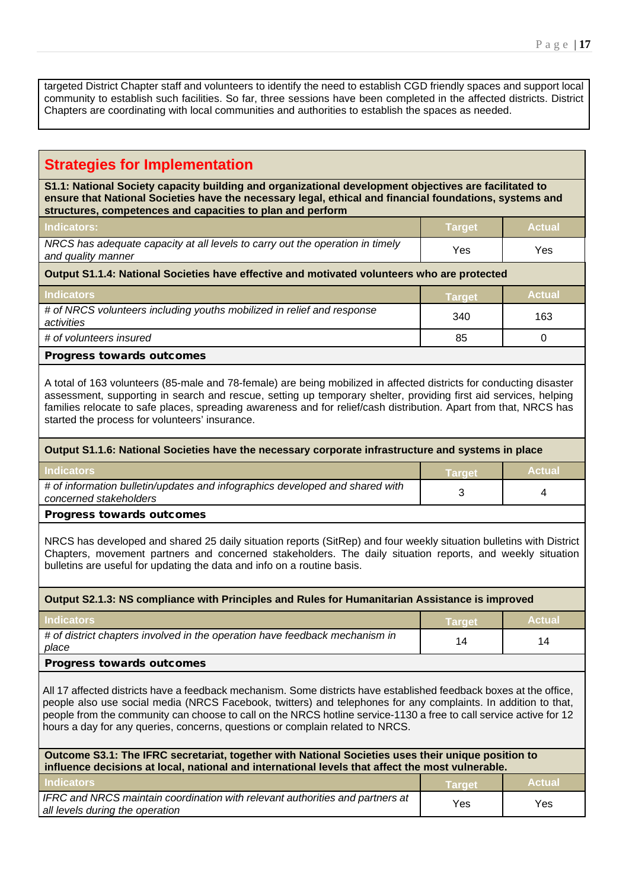targeted District Chapter staff and volunteers to identify the need to establish CGD friendly spaces and support local community to establish such facilities. So far, three sessions have been completed in the affected districts. District Chapters are coordinating with local communities and authorities to establish the spaces as needed.

## **Strategies for Implementation**

**S1.1: National Society capacity building and organizational development objectives are facilitated to ensure that National Societies have the necessary legal, ethical and financial foundations, systems and structures, competences and capacities to plan and perform**

| <b>Indicators:</b>                                                            | <b>Target</b> | <b>Actual</b> |
|-------------------------------------------------------------------------------|---------------|---------------|
| NRCS has adequate capacity at all levels to carry out the operation in timely | Yes           | Yes           |
| and quality manner                                                            |               |               |

## **Output S1.1.4: National Societies have effective and motivated volunteers who are protected**

| <b>Indicators</b>                                                                    | Target | <b>Actual</b> |
|--------------------------------------------------------------------------------------|--------|---------------|
| # of NRCS volunteers including youths mobilized in relief and response<br>activities | 340    | 163           |
| # of volunteers insured                                                              | 85     |               |
| <b>Progress towards outcomes</b>                                                     |        |               |

A total of 163 volunteers (85-male and 78-female) are being mobilized in affected districts for conducting disaster assessment, supporting in search and rescue, setting up temporary shelter, providing first aid services, helping families relocate to safe places, spreading awareness and for relief/cash distribution. Apart from that, NRCS has started the process for volunteers' insurance.

## **Output S1.1.6: National Societies have the necessary corporate infrastructure and systems in place**

| <b>Indicators</b>                                                                                      | <b>Target</b> | <b>Actual</b> |
|--------------------------------------------------------------------------------------------------------|---------------|---------------|
| # of information bulletin/updates and infographics developed and shared with<br>concerned stakeholders |               |               |
| <b>Progress towards outcomes</b>                                                                       |               |               |

NRCS has developed and shared 25 daily situation reports (SitRep) and four weekly situation bulletins with District Chapters, movement partners and concerned stakeholders. The daily situation reports, and weekly situation bulletins are useful for updating the data and info on a routine basis.

## **Output S2.1.3: NS compliance with Principles and Rules for Humanitarian Assistance is improved**

| <b>Indicators</b>                                                                    | <b>Target</b> | <b>Actual</b> |
|--------------------------------------------------------------------------------------|---------------|---------------|
| # of district chapters involved in the operation have feedback mechanism in<br>place | 14            | 14            |
| <b>Drograce towards outcomps</b>                                                     |               |               |

Progress towards outcomes

All 17 affected districts have a feedback mechanism. Some districts have established feedback boxes at the office, people also use social media (NRCS Facebook, twitters) and telephones for any complaints. In addition to that, people from the community can choose to call on the NRCS hotline service-1130 a free to call service active for 12 hours a day for any queries, concerns, questions or complain related to NRCS.

| Outcome S3.1: The IFRC secretariat, together with National Societies uses their unique position to<br>influence decisions at local, national and international levels that affect the most vulnerable. |               |               |
|--------------------------------------------------------------------------------------------------------------------------------------------------------------------------------------------------------|---------------|---------------|
| <b>Indicators</b>                                                                                                                                                                                      | <b>Target</b> | <b>Actual</b> |
| IFRC and NRCS maintain coordination with relevant authorities and partners at<br>all levels during the operation                                                                                       | Yes           | Yes.          |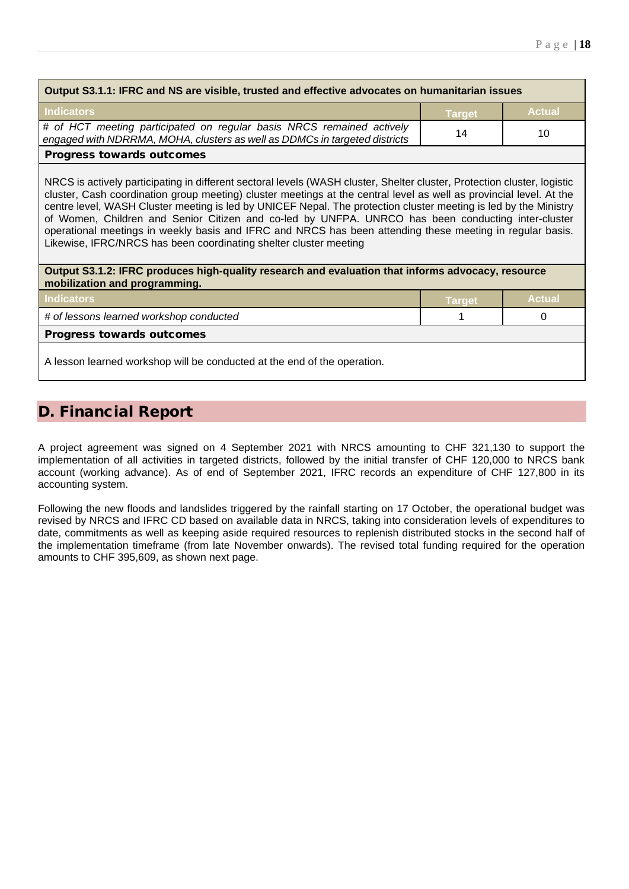| Output S3.1.1: IFRC and NS are visible, trusted and effective advocates on humanitarian issues                                                      |               |               |
|-----------------------------------------------------------------------------------------------------------------------------------------------------|---------------|---------------|
| <b>Indicators</b>                                                                                                                                   | <b>Target</b> | <b>Actual</b> |
| # of HCT meeting participated on regular basis NRCS remained actively<br>engaged with NDRRMA, MOHA, clusters as well as DDMCs in targeted districts | 14            | 10            |
| <b>Progress towards outcomes</b>                                                                                                                    |               |               |

NRCS is actively participating in different sectoral levels (WASH cluster, Shelter cluster, Protection cluster, logistic cluster, Cash coordination group meeting) cluster meetings at the central level as well as provincial level. At the centre level, WASH Cluster meeting is led by UNICEF Nepal. The protection cluster meeting is led by the Ministry of Women, Children and Senior Citizen and co-led by UNFPA. UNRCO has been conducting inter-cluster operational meetings in weekly basis and IFRC and NRCS has been attending these meeting in regular basis. Likewise, IFRC/NRCS has been coordinating shelter cluster meeting

**Output S3.1.2: IFRC produces high-quality research and evaluation that informs advocacy, resource mobilization and programming.**

| Indicators                                                               | <b>Target</b> ' | <b>Actual</b> |  |
|--------------------------------------------------------------------------|-----------------|---------------|--|
| # of lessons learned workshop conducted                                  |                 |               |  |
| <b>Progress towards outcomes</b>                                         |                 |               |  |
| A lesson learned workshop will be conducted at the end of the operation. |                 |               |  |

# D. Financial Report

A project agreement was signed on 4 September 2021 with NRCS amounting to CHF 321,130 to support the implementation of all activities in targeted districts, followed by the initial transfer of CHF 120,000 to NRCS bank account (working advance). As of end of September 2021, IFRC records an expenditure of CHF 127,800 in its accounting system.

Following the new floods and landslides triggered by the rainfall starting on 17 October, the operational budget was revised by NRCS and IFRC CD based on available data in NRCS, taking into consideration levels of expenditures to date, commitments as well as keeping aside required resources to replenish distributed stocks in the second half of the implementation timeframe (from late November onwards). The revised total funding required for the operation amounts to CHF 395,609, as shown next page.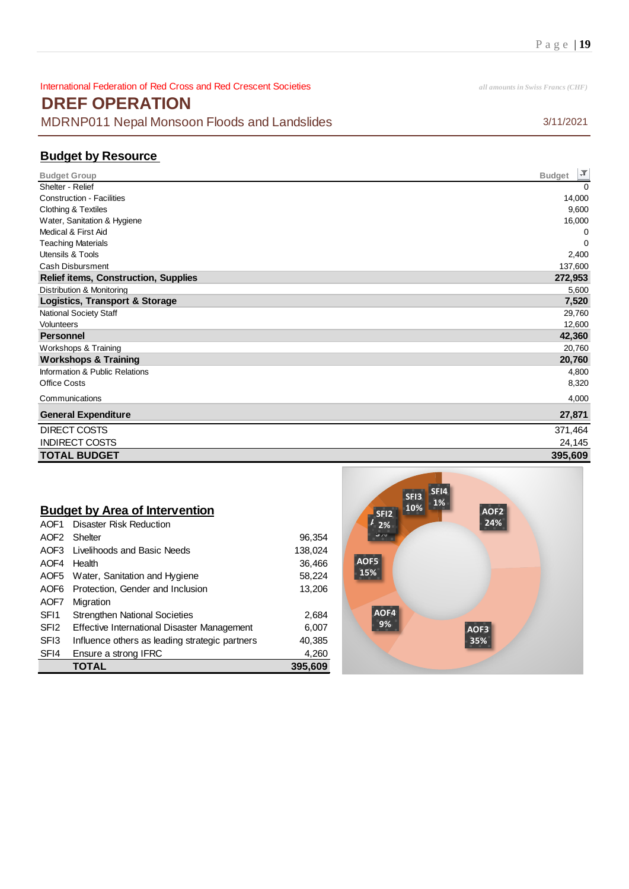International Federation of Red Cross and Red Crescent Societies *all amounts in Swiss Francs (CHF)* **DREF OPERATION** MDRNP011 Nepal Monsoon Floods and Landslides 3/11/2021

## **Budget by Resource**

| <b>Budget Group</b>                         | <b>F</b><br><b>Budget</b> |
|---------------------------------------------|---------------------------|
| Shelter - Relief                            | $\Omega$                  |
| <b>Construction - Facilities</b>            | 14,000                    |
| Clothing & Textiles                         | 9,600                     |
| Water, Sanitation & Hygiene                 | 16,000                    |
| Medical & First Aid                         | 0                         |
| <b>Teaching Materials</b>                   | $\Omega$                  |
| Utensils & Tools                            | 2,400                     |
| <b>Cash Disbursment</b>                     | 137,600                   |
| <b>Relief items, Construction, Supplies</b> | 272,953                   |
| Distribution & Monitoring                   | 5,600                     |
| <b>Logistics, Transport &amp; Storage</b>   | 7,520                     |
| National Society Staff                      | 29,760                    |
| Volunteers                                  | 12,600                    |
| <b>Personnel</b>                            | 42,360                    |
| Workshops & Training                        | 20,760                    |
| <b>Workshops &amp; Training</b>             | 20,760                    |
| Information & Public Relations              | 4,800                     |
| <b>Office Costs</b>                         | 8,320                     |
| Communications                              | 4,000                     |
| <b>General Expenditure</b>                  | 27,871                    |
| DIRECT COSTS                                | 371,464                   |
| <b>INDIRECT COSTS</b>                       | 24,145                    |
| <b>TOTAL BUDGET</b>                         | 395,609                   |

## **Budget by Area of Intervention**

|                  | TOTAL                                          | 395.609 |
|------------------|------------------------------------------------|---------|
| SFI4             | Ensure a strong IFRC                           | 4,260   |
| SF <sub>13</sub> | Influence others as leading strategic partners | 40,385  |
| SFI <sub>2</sub> | Effective International Disaster Management    | 6,007   |
| SFI <sub>1</sub> | <b>Strengthen National Societies</b>           | 2,684   |
| AOF7             | Migration                                      |         |
| AOF6             | Protection, Gender and Inclusion               | 13,206  |
|                  | AOF5 Water, Sanitation and Hygiene             | 58,224  |
| AOF4             | Health                                         | 36,466  |
|                  | AOF3 Livelihoods and Basic Needs               | 138,024 |
| AOF <sub>2</sub> | Shelter                                        | 96,354  |
| AOF1             | <b>Disaster Risk Reduction</b>                 |         |